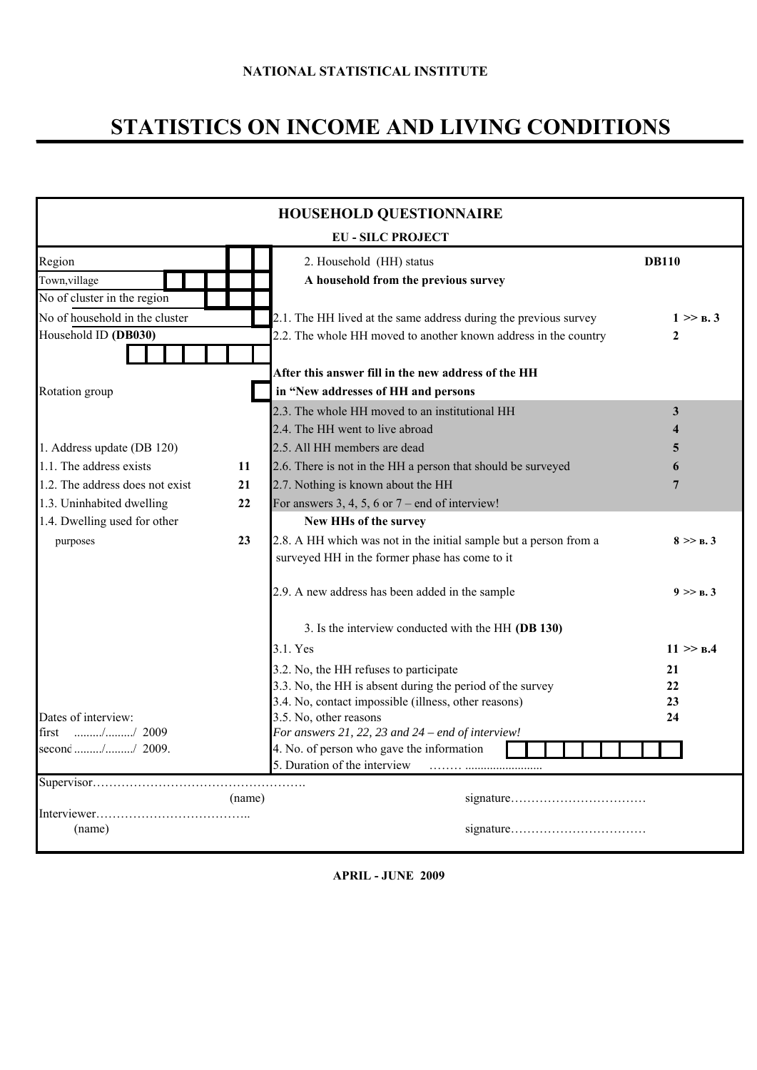# **STATISTICS ON INCOME AND LIVING CONDITIONS**

| <b>HOUSEHOLD QUESTIONNAIRE</b>       |        |                                                                                                  |              |  |  |  |  |
|--------------------------------------|--------|--------------------------------------------------------------------------------------------------|--------------|--|--|--|--|
|                                      |        | <b>EU - SILC PROJECT</b>                                                                         |              |  |  |  |  |
| Region                               |        | 2. Household (HH) status                                                                         | <b>DB110</b> |  |  |  |  |
| Town, village                        |        | A household from the previous survey                                                             |              |  |  |  |  |
| No of cluster in the region          |        |                                                                                                  |              |  |  |  |  |
| No of household in the cluster       |        | 2.1. The HH lived at the same address during the previous survey                                 | 1 >> R.3     |  |  |  |  |
| Household ID (DB030)                 |        | 2.2. The whole HH moved to another known address in the country                                  | 2            |  |  |  |  |
|                                      |        |                                                                                                  |              |  |  |  |  |
|                                      |        | After this answer fill in the new address of the HH                                              |              |  |  |  |  |
| Rotation group                       |        | in "New addresses of HH and persons                                                              |              |  |  |  |  |
|                                      |        | 2.3. The whole HH moved to an institutional HH                                                   | 3            |  |  |  |  |
|                                      |        | 2.4. The HH went to live abroad                                                                  |              |  |  |  |  |
| 1. Address update (DB 120)           |        | 2.5. All HH members are dead                                                                     | 5            |  |  |  |  |
| 1.1. The address exists              | 11     | 2.6. There is not in the HH a person that should be surveyed                                     | 6            |  |  |  |  |
| 1.2. The address does not exist      | 21     | 2.7. Nothing is known about the HH                                                               | 7            |  |  |  |  |
| 1.3. Uninhabited dwelling            | 22     | For answers 3, 4, 5, 6 or $7$ – end of interview!                                                |              |  |  |  |  |
| 1.4. Dwelling used for other         |        | New HHs of the survey                                                                            |              |  |  |  |  |
| purposes                             | 23     | 2.8. A HH which was not in the initial sample but a person from a                                | 8 > B.3      |  |  |  |  |
|                                      |        | surveyed HH in the former phase has come to it                                                   |              |  |  |  |  |
|                                      |        | 2.9. A new address has been added in the sample                                                  | 9 >> B.3     |  |  |  |  |
|                                      |        | 3. Is the interview conducted with the HH (DB 130)                                               |              |  |  |  |  |
|                                      |        | 3.1. Yes                                                                                         | 11 > B.4     |  |  |  |  |
|                                      |        | 3.2. No, the HH refuses to participate                                                           | 21           |  |  |  |  |
|                                      |        | 3.3. No, the HH is absent during the period of the survey                                        | 22           |  |  |  |  |
|                                      |        | 3.4. No, contact impossible (illness, other reasons)                                             | 23           |  |  |  |  |
| Dates of interview:<br>$1.11$ (1009) |        | 3.5. No, other reasons                                                                           | 24           |  |  |  |  |
| first<br>second // 2009.             |        | For answers 21, 22, 23 and $24$ – end of interview!<br>4. No. of person who gave the information |              |  |  |  |  |
|                                      |        | 5. Duration of the interview                                                                     |              |  |  |  |  |
|                                      | (name) | .                                                                                                |              |  |  |  |  |
|                                      |        |                                                                                                  |              |  |  |  |  |
| (name)                               |        |                                                                                                  |              |  |  |  |  |

**APRIL - JUNE 2009**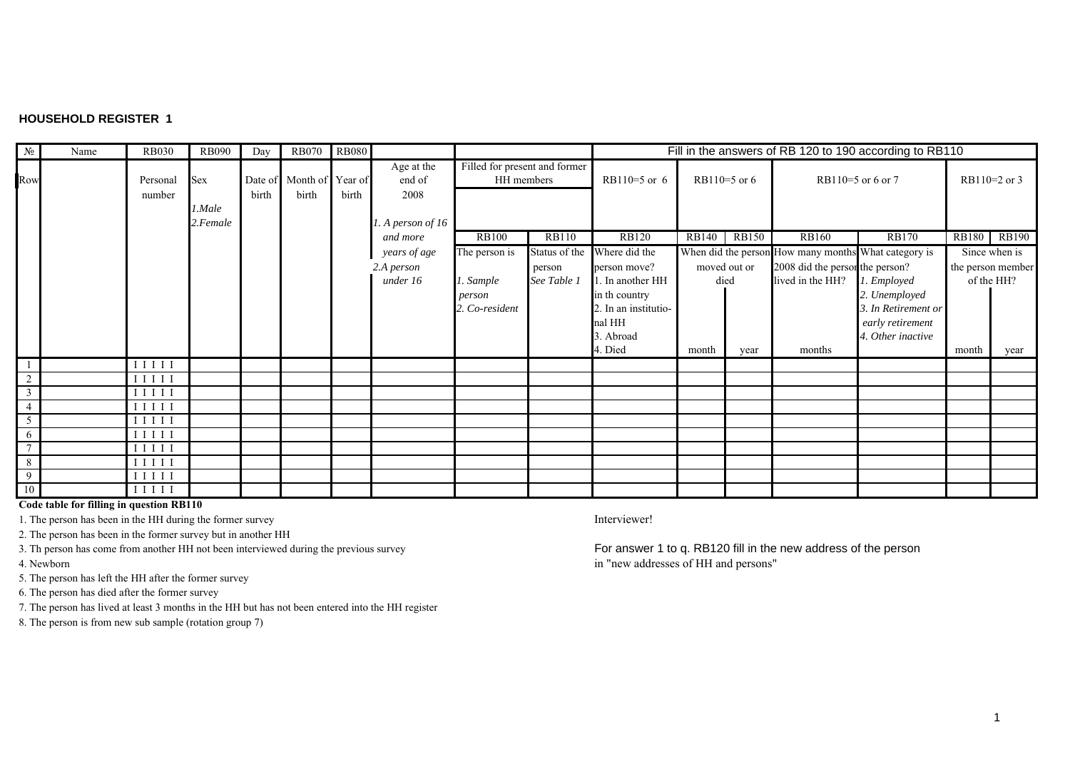#### **HOUSEHOLD REGISTER 1**

| $N_2$              | Name | <b>RB030</b>        | <b>RB090</b>       | Day   | <b>RB070</b>                      | <b>RB080</b> |                              |                |                                                             |                      | Fill in the answers of RB 120 to 190 according to RB110 |              |                                                      |                     |              |                   |
|--------------------|------|---------------------|--------------------|-------|-----------------------------------|--------------|------------------------------|----------------|-------------------------------------------------------------|----------------------|---------------------------------------------------------|--------------|------------------------------------------------------|---------------------|--------------|-------------------|
| Row                |      | Personal<br>number  | <b>Sex</b>         | birth | Date of Month of Year of<br>birth | birth        | Age at the<br>end of<br>2008 |                | Filled for present and former<br>HH members<br>RB110=5 or 6 |                      |                                                         | RB110=5 or 6 |                                                      | RB110=5 or 6 or 7   |              | $RB110=2$ or 3    |
|                    |      |                     | 1.Male<br>2.Female |       |                                   |              | 1. A person of 16            |                |                                                             |                      |                                                         |              |                                                      |                     |              |                   |
|                    |      |                     |                    |       |                                   |              | and more                     | <b>RB100</b>   | <b>RB110</b>                                                |                      | RB140                                                   | <b>RB150</b> | <b>RB160</b>                                         | <b>RB170</b>        | <b>RB180</b> | <b>RB190</b>      |
|                    |      |                     |                    |       |                                   |              | years of age                 | The person is  | Status of the                                               | Where did the        |                                                         |              | When did the person How many months What category is |                     |              | Since when is     |
|                    |      |                     |                    |       |                                   |              | 2.A person                   |                | person                                                      | person move?         |                                                         | moved out or | 2008 did the person the person?                      |                     |              | the person member |
|                    |      |                     |                    |       |                                   |              | under 16                     | 1. Sample      | See Table 1                                                 | 1. In another HH     | died                                                    |              | lived in the HH?                                     | 1. Employed         |              | of the HH?        |
|                    |      |                     |                    |       |                                   |              |                              | person         |                                                             | in th country        |                                                         |              |                                                      | 2. Unemployed       |              |                   |
|                    |      |                     |                    |       |                                   |              |                              | 2. Co-resident |                                                             | 2. In an institutio- |                                                         |              |                                                      | 3. In Retirement or |              |                   |
|                    |      |                     |                    |       |                                   |              |                              |                |                                                             | nal HH               |                                                         |              |                                                      | early retirement    |              |                   |
|                    |      |                     |                    |       |                                   |              |                              |                |                                                             | 3. Abroad            |                                                         |              |                                                      | 4. Other inactive   |              |                   |
|                    |      |                     |                    |       |                                   |              |                              |                |                                                             | 4. Died              | month                                                   | year         | months                                               |                     | month        | year              |
|                    |      | $I I I I I$         |                    |       |                                   |              |                              |                |                                                             |                      |                                                         |              |                                                      |                     |              |                   |
| 2                  |      | $I$ $I$ $I$ $I$ $I$ |                    |       |                                   |              |                              |                |                                                             |                      |                                                         |              |                                                      |                     |              |                   |
| 3                  |      | I I I I I           |                    |       |                                   |              |                              |                |                                                             |                      |                                                         |              |                                                      |                     |              |                   |
|                    |      | $I I I I I$         |                    |       |                                   |              |                              |                |                                                             |                      |                                                         |              |                                                      |                     |              |                   |
| 5                  |      | $I$ I I I I         |                    |       |                                   |              |                              |                |                                                             |                      |                                                         |              |                                                      |                     |              |                   |
| 6<br>$\mathcal{I}$ |      | $I$ $I$ $I$ $I$ $I$ |                    |       |                                   |              |                              |                |                                                             |                      |                                                         |              |                                                      |                     |              |                   |
|                    |      | $I$ $I$ $I$ $I$ $I$ |                    |       |                                   |              |                              |                |                                                             |                      |                                                         |              |                                                      |                     |              |                   |
| 8<br>9             |      | $I$ $I$ $I$ $I$ $I$ |                    |       |                                   |              |                              |                |                                                             |                      |                                                         |              |                                                      |                     |              |                   |
| 10                 |      | $I$ $I$ $I$ $I$ $I$ |                    |       |                                   |              |                              |                |                                                             |                      |                                                         |              |                                                      |                     |              |                   |
|                    |      | $I$ $I$ $I$ $I$ $I$ |                    |       |                                   |              |                              |                |                                                             |                      |                                                         |              |                                                      |                     |              |                   |

### **Code table for filling in question RB110**

1. The person has been in the HH during the former survey **Interviewer!** Interviewer!

2. The person has been in the former survey but in another HH

4. Newborn

5. The person has left the HH after the former survey

6. The person has died after the former survey

7. The person has lived at least 3 months in the HH but has not been entered into the HH register

8. The person is from new sub sample (rotation group 7)

3. Th person has come from another HH not been interviewed during the previous survey For answer 1 to q. RB120 fill in the new address of the person in "new addresses of HH and persons"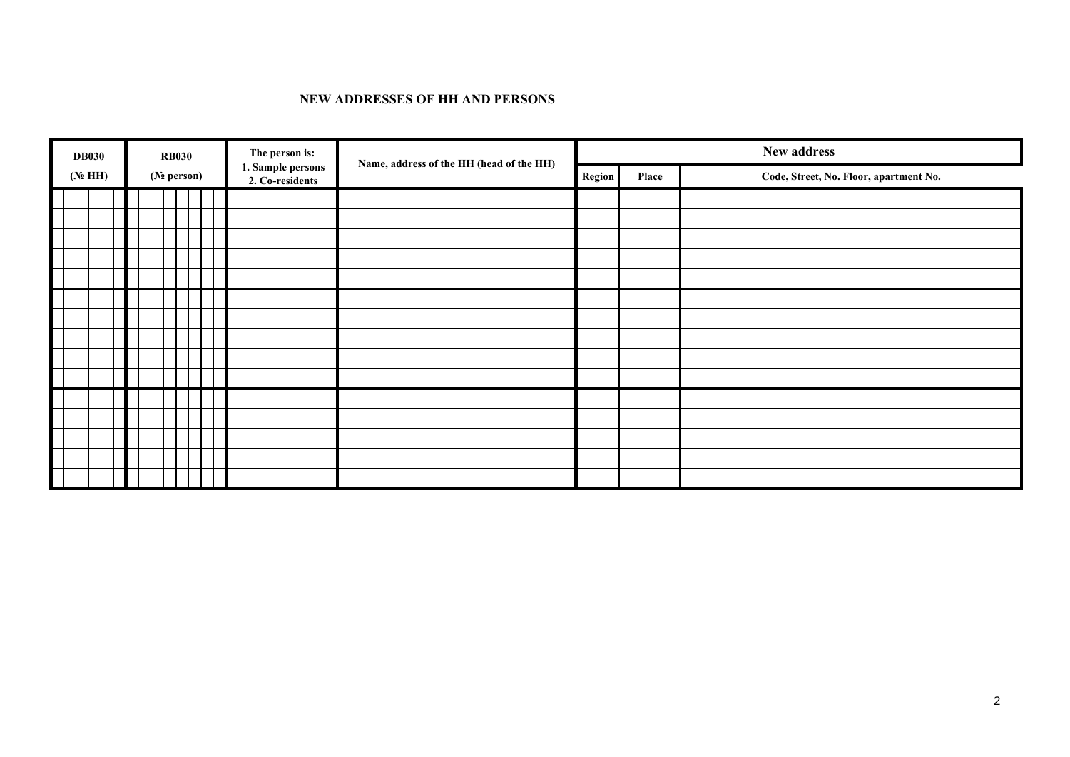#### **NEW ADDRESSES OF HH AND PERSONS**

| <b>DB030</b> |  | <b>RB030</b> |                         | The person is:<br>Name, address of the HH (head of the HH) |                                      |  |        | New address |                                        |
|--------------|--|--------------|-------------------------|------------------------------------------------------------|--------------------------------------|--|--------|-------------|----------------------------------------|
| $(N_2$ HH)   |  |              | (N <sub>2</sub> person) |                                                            | 1. Sample persons<br>2. Co-residents |  | Region | Place       | Code, Street, No. Floor, apartment No. |
|              |  |              |                         |                                                            |                                      |  |        |             |                                        |
|              |  |              |                         |                                                            |                                      |  |        |             |                                        |
|              |  |              |                         |                                                            |                                      |  |        |             |                                        |
|              |  |              |                         |                                                            |                                      |  |        |             |                                        |
|              |  |              |                         |                                                            |                                      |  |        |             |                                        |
|              |  |              |                         |                                                            |                                      |  |        |             |                                        |
|              |  |              |                         |                                                            |                                      |  |        |             |                                        |
|              |  |              |                         |                                                            |                                      |  |        |             |                                        |
|              |  |              |                         |                                                            |                                      |  |        |             |                                        |
|              |  |              |                         |                                                            |                                      |  |        |             |                                        |
|              |  |              |                         |                                                            |                                      |  |        |             |                                        |
|              |  |              |                         |                                                            |                                      |  |        |             |                                        |
|              |  |              |                         |                                                            |                                      |  |        |             |                                        |
|              |  |              |                         |                                                            |                                      |  |        |             |                                        |
|              |  |              |                         |                                                            |                                      |  |        |             |                                        |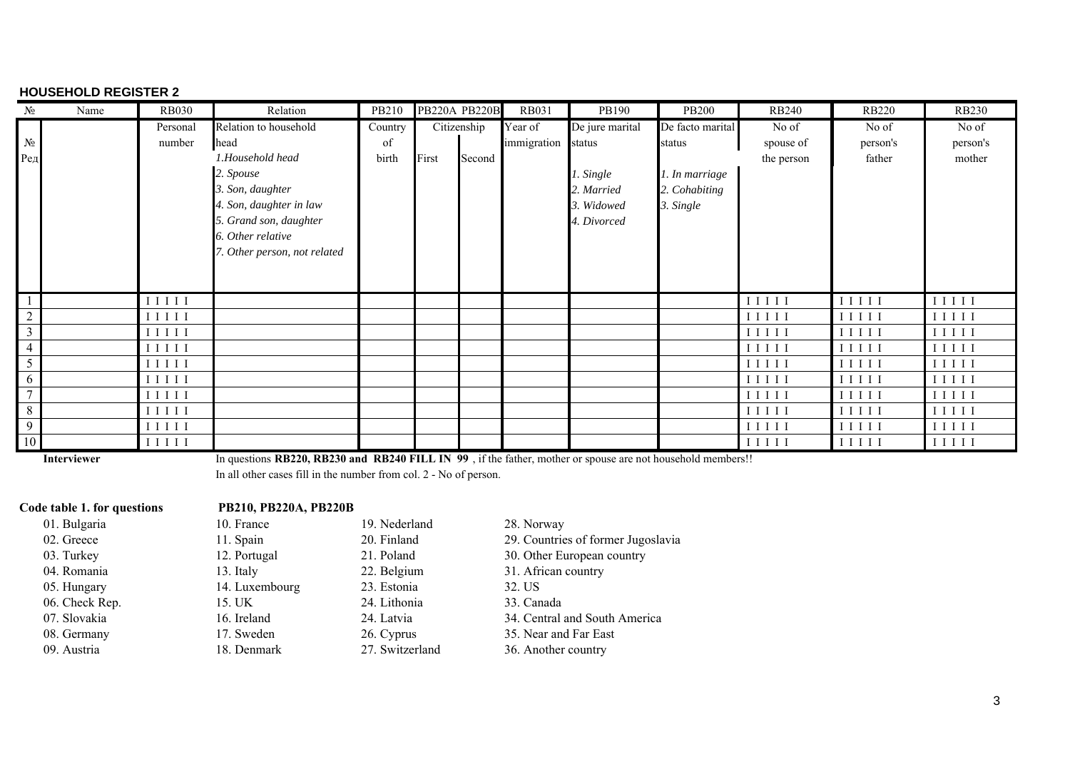#### **HOUSEHOLD REGISTER 2**

| N <sub>2</sub> | Name | <b>RB030</b>        | Relation                     | PB210   |       | <b>PB220A PB220B</b> | <b>RB031</b> | PB190           | <b>PB200</b>     | <b>RB240</b>    | <b>RB220</b> | <b>RB230</b>        |
|----------------|------|---------------------|------------------------------|---------|-------|----------------------|--------------|-----------------|------------------|-----------------|--------------|---------------------|
|                |      | Personal            | Relation to household        | Country |       | Citizenship          | Year of      | De jure marital | De facto marital | No of           | No of        | No of               |
| $N_2$          |      | number              | head                         | of      |       |                      | immigration  | status          | status           | spouse of       | person's     | person's            |
| Ред            |      |                     | 1.Household head             | birth   | First | Second               |              |                 |                  | the person      | father       | mother              |
|                |      |                     | 2. Spouse                    |         |       |                      |              | . Single        | 1. In marriage   |                 |              |                     |
|                |      |                     | 3. Son, daughter             |         |       |                      |              | 2. Married      | 2. Cohabiting    |                 |              |                     |
|                |      |                     | 4. Son, daughter in law      |         |       |                      |              | 3. Widowed      | 3. Single        |                 |              |                     |
|                |      |                     | 5. Grand son, daughter       |         |       |                      |              | 4. Divorced     |                  |                 |              |                     |
|                |      |                     | 6. Other relative            |         |       |                      |              |                 |                  |                 |              |                     |
|                |      |                     | 7. Other person, not related |         |       |                      |              |                 |                  |                 |              |                     |
|                |      |                     |                              |         |       |                      |              |                 |                  |                 |              |                     |
|                |      |                     |                              |         |       |                      |              |                 |                  |                 |              |                     |
|                |      | $I$ $I$ $I$ $I$ $I$ |                              |         |       |                      |              |                 |                  | $I$ $I$ $I$ $I$ | I I I I I    | $I I I I I$         |
| $\overline{2}$ |      | I I I I I           |                              |         |       |                      |              |                 |                  | I I I I I       | I I I I I    | I I I I I           |
| 3              |      | I I I I I           |                              |         |       |                      |              |                 |                  | I I I I I       | I I I I      | $I$ $I$ $I$ $I$ $I$ |
|                |      | $I$ $I$ $I$ $I$ $I$ |                              |         |       |                      |              |                 |                  | $I$ $I$ $I$ $I$ | I I I I I    | $I I I I I$         |
| 5              |      | I I I I I           |                              |         |       |                      |              |                 |                  | I I I I I       | I I I I I    | I I I I I           |
| 6              |      | $I I I I I$         |                              |         |       |                      |              |                 |                  | $I I I I I$     | I I I I      | I I I I I           |
|                |      | I I I I I           |                              |         |       |                      |              |                 |                  | $I$ $I$ $I$ $I$ | I I I I I    | $I I I I I$         |
| 8              |      | $I I I I I$         |                              |         |       |                      |              |                 |                  | I I I I         | I I I I I    | $I$ $I$ $I$ $I$ $I$ |
| 9              |      | $I$ $I$ $I$ $I$ $I$ |                              |         |       |                      |              |                 |                  | I I I I         | I I I I      | IIIII               |
| 10             |      | $I$ $I$ $I$ $I$ $I$ |                              |         |       |                      |              |                 |                  | I I I I         | I I I I      | I I I I I           |

**Interviewer**

In questions **RB220, RB230 and RB240 FILL IN 99** , if the father, mother or spouse are not household members!!

In all other cases fill in the number from col. 2 - No of person.

### **Code table 1. for questions PB210, PB220A, PB220B**

01. Bulgaria 10. France 19. Nederland 28. Norway 04. Romania 13. Italy 22. Belgium 31. African country 05. Hungary 14. Luxembourg 23. Estonia 32. US 06. Check Rep. 15. UK 24. Lithonia 33. Canada

- 02. Greece 11. Spain 20. Finland 29. Countries of former Jugoslavia
- 03. Turkey 12. Portugal 21. Poland 30. Other European country
	-
	-
	-
- 07. Slovakia 16. Ireland 24. Latvia 34. Central and South America
- 08. Germany 17. Sweden 26. Cyprus 35. Near and Far East
- 09. Austria 18. Denmark 27. Switzerland 36. Another country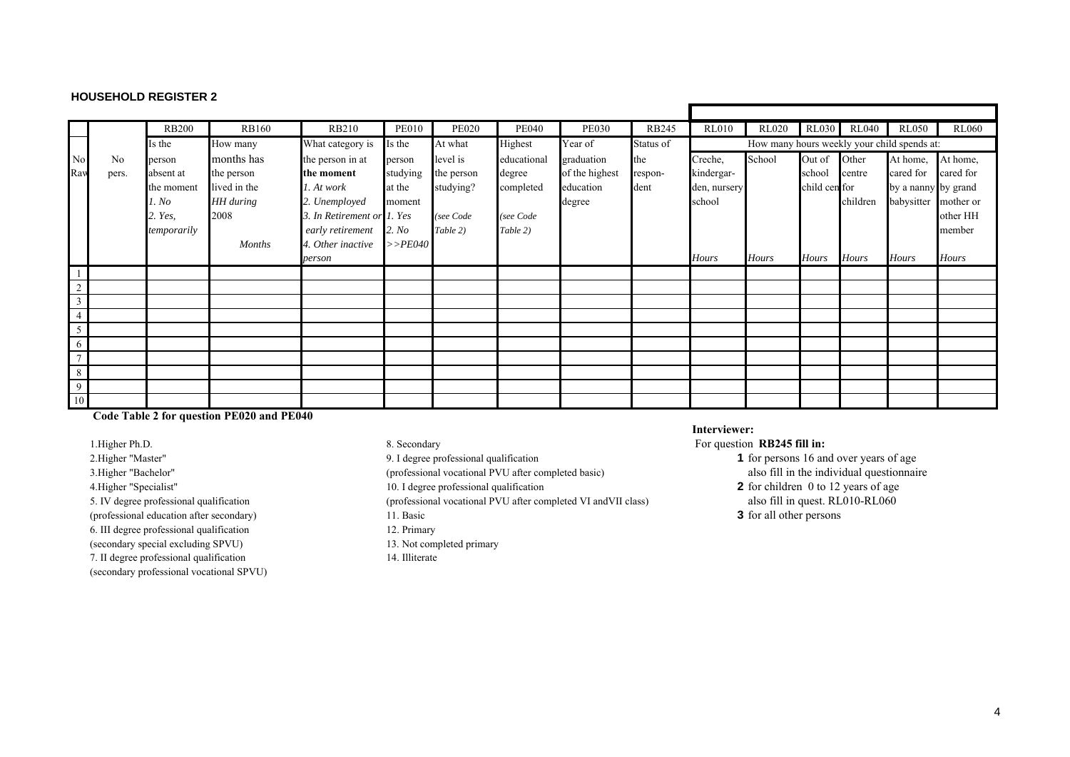### **HOUSEHOLD REGISTER 2**

|                |       | <b>RB200</b> | <b>RB160</b>  | <b>RB210</b>               | <b>PE010</b> | <b>PE020</b> | <b>PE040</b> | <b>PE030</b>   | <b>RB245</b> | <b>RL010</b>                                | <b>RL020</b> | <b>RL030</b>  | <b>RL040</b> | <b>RL050</b>        | <b>RL060</b> |  |
|----------------|-------|--------------|---------------|----------------------------|--------------|--------------|--------------|----------------|--------------|---------------------------------------------|--------------|---------------|--------------|---------------------|--------------|--|
|                |       | Is the       | How many      | What category is           | Is the       | At what      | Highest      | Year of        | Status of    | How many hours weekly your child spends at: |              |               |              |                     |              |  |
| N <sub>o</sub> | No    | person       | months has    | the person in at           | person       | level is     | educational  | graduation     | the          | Creche,                                     | School       | Out of        | Other        | At home,            | At home,     |  |
| Ray            | pers. | absent at    | the person    | the moment                 | studying     | the person   | degree       | of the highest | respon-      | kindergar-                                  |              | school        | centre       | cared for           | cared for    |  |
|                |       | the moment   | lived in the  | 1. At work                 | at the       | studying?    | completed    | education      | dent         | den, nursery                                |              | child cen for |              | by a nanny by grand |              |  |
|                |       | . No         | HH during     | 2. Unemployed              | moment       |              |              | degree         |              | school                                      |              |               | children     | babysitter          | mother or    |  |
|                |       | 2. Yes,      | 2008          | 3. In Retirement or 1. Yes |              | (see Code    | (see Code    |                |              |                                             |              |               |              |                     | other HH     |  |
|                |       | temporarily  |               | early retirement           | 2. No        | Table 2)     | Table 2)     |                |              |                                             |              |               |              |                     | member       |  |
|                |       |              | <b>Months</b> | 4. Other inactive          | $>>$ PE040   |              |              |                |              |                                             |              |               |              |                     |              |  |
|                |       |              |               | person                     |              |              |              |                |              | <b>Hours</b>                                | <b>Hours</b> | <b>Hours</b>  | <b>Hours</b> | <b>Hours</b>        | Hours        |  |
|                |       |              |               |                            |              |              |              |                |              |                                             |              |               |              |                     |              |  |
|                |       |              |               |                            |              |              |              |                |              |                                             |              |               |              |                     |              |  |
| $\overline{3}$ |       |              |               |                            |              |              |              |                |              |                                             |              |               |              |                     |              |  |
|                |       |              |               |                            |              |              |              |                |              |                                             |              |               |              |                     |              |  |
|                |       |              |               |                            |              |              |              |                |              |                                             |              |               |              |                     |              |  |
| 6              |       |              |               |                            |              |              |              |                |              |                                             |              |               |              |                     |              |  |
|                |       |              |               |                            |              |              |              |                |              |                                             |              |               |              |                     |              |  |
| 8              |       |              |               |                            |              |              |              |                |              |                                             |              |               |              |                     |              |  |
| 9              |       |              |               |                            |              |              |              |                |              |                                             |              |               |              |                     |              |  |
| 10             |       |              |               |                            |              |              |              |                |              |                                             |              |               |              |                     |              |  |

### **Code Table 2 for question PE020 and PE040**

1.Higher Ph.D. 8. Secondary For question **RB245 fill in:**  (professional education after secondary) 11. Basic **3** for all other persons 6. III degree professional qualification 12. Primary (secondary special excluding SPVU) 13. Not completed primary 7. II degree professional qualification 14. Illiterate (secondary professional vocational SPVU)

- 
- 3. Higher "Bachelor" (professional vocational PVU after completed basic)

5. IV degree professional qualification (professional vocational PVU after completed VI andVII class) also fill in quest. RL010-RL060

- 
- 

#### **Interviewer:**

- 2.Higher "Master" 9. I degree professional qualification 1 for persons 16 and over years of age 3.Higher "Bachelor" 9. I degree professional vocational PVU after completed basic) 1 for persons 16 and over years of age also 4.Higher "Specialist" 10. I degree professional qualification **2** for children 0 to 12 years of age
	-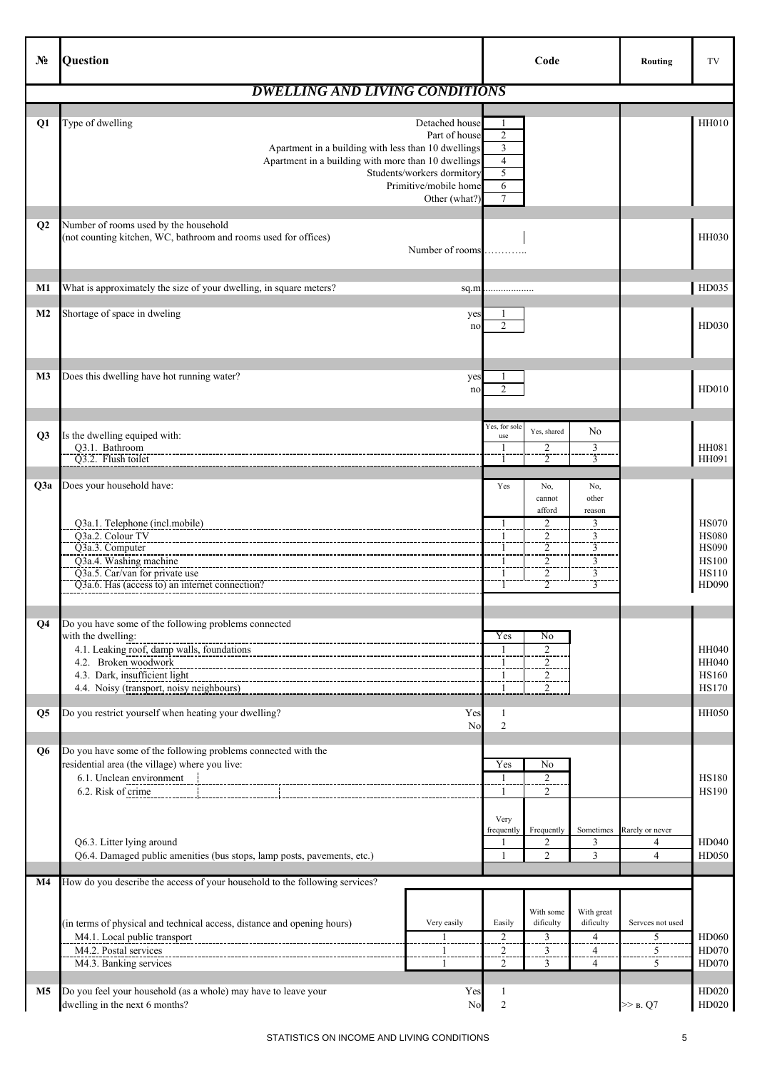| $N_2$          | Question                                                                                                                                                                                                                                                        | Code                                                                                                                                                                                                                                 | Routing                                             | TV                                                                                    |
|----------------|-----------------------------------------------------------------------------------------------------------------------------------------------------------------------------------------------------------------------------------------------------------------|--------------------------------------------------------------------------------------------------------------------------------------------------------------------------------------------------------------------------------------|-----------------------------------------------------|---------------------------------------------------------------------------------------|
|                | <b>DWELLING AND LIVING CONDITIONS</b>                                                                                                                                                                                                                           |                                                                                                                                                                                                                                      |                                                     |                                                                                       |
| Q <sub>1</sub> | Type of dwelling<br>Detached house<br>Part of house<br>Apartment in a building with less than 10 dwellings<br>Apartment in a building with more than 10 dwellings<br>Students/workers dormitory<br>Primitive/mobile home<br>Other (what?)                       | 1<br>$\overline{2}$<br>$\mathfrak z$<br>$\overline{4}$<br>5<br>6<br>$\tau$                                                                                                                                                           |                                                     | HH010                                                                                 |
| $\mathbf{Q}$   | Number of rooms used by the household<br>(not counting kitchen, WC, bathroom and rooms used for offices)<br>Number of rooms                                                                                                                                     |                                                                                                                                                                                                                                      |                                                     | <b>HH030</b>                                                                          |
| M1             | What is approximately the size of your dwelling, in square meters?<br>sq.m                                                                                                                                                                                      | .                                                                                                                                                                                                                                    |                                                     | HD035                                                                                 |
| M <sub>2</sub> | Shortage of space in dweling<br>yes<br>no                                                                                                                                                                                                                       | -1<br>$\overline{2}$                                                                                                                                                                                                                 |                                                     | HD030                                                                                 |
| M <sub>3</sub> | Does this dwelling have hot running water?<br>yes<br>no                                                                                                                                                                                                         | 1<br>$\overline{2}$                                                                                                                                                                                                                  |                                                     | HD010                                                                                 |
| Q3             | Is the dwelling equiped with:<br>Q3.1. Bathroom<br>Q3.2. Flush toilet                                                                                                                                                                                           | Yes, for sole<br>No<br>Yes, shared<br>use<br>$\overline{c}$<br>3<br>$\overline{3}$<br>$\overline{2}$                                                                                                                                 |                                                     | <b>HH081</b><br>HH091                                                                 |
| Q3a            | Does your household have:                                                                                                                                                                                                                                       | Yes<br>No,<br>No,                                                                                                                                                                                                                    |                                                     |                                                                                       |
|                | Q3a.1. Telephone (incl.mobile)<br>Q3a.2. Colour TV<br>Q3a.3. Computer<br>Q3a.4. Washing machine<br>Q3a.5. Car/van for private use<br>Q3a.6. Has (access to) an internet connection?                                                                             | cannot<br>other<br>afford<br>reason<br>2<br>3<br>$\overline{\mathbf{c}}$<br>3<br>1<br>$\frac{2}{2}$<br>3<br>-1<br>$\overline{\overline{3}}$<br>$\overline{2}$<br>$\overline{3}$<br>$\overline{2}$<br>$\overline{3}$                  |                                                     | <b>HS070</b><br><b>HS080</b><br><b>HS090</b><br><b>HS100</b><br><b>HS110</b><br>HD090 |
| Q <sub>4</sub> | Do you have some of the following problems connected<br>with the dwelling:<br>4.1. Leaking roof, damp walls, foundations<br>4.2. Broken woodwork<br>------------------------------<br>4.3. Dark, insufficient light<br>4.4. Noisy (transport, noisy neighbours) | Yes<br>No<br>$\overline{2}$<br>-1<br>$\frac{2}{2}$<br>$\frac{1}{1}$<br>$\overline{2}$<br>1                                                                                                                                           |                                                     | <b>HH040</b><br>HH040<br><b>HS160</b><br><b>HS170</b>                                 |
| Q <sub>5</sub> | Do you restrict yourself when heating your dwelling?<br>Yes<br>No                                                                                                                                                                                               | $\mathbf{1}$<br>$\overline{2}$                                                                                                                                                                                                       |                                                     | HH050                                                                                 |
| Q6             | Do you have some of the following problems connected with the<br>residential area (the village) where you live:<br>6.2. Risk of crime                                                                                                                           | Yes<br>No<br>$\overline{\mathbf{1}}$<br>$\overline{2}$<br>2<br>-1<br>Very                                                                                                                                                            |                                                     | <b>HS180</b><br><b>HS190</b>                                                          |
|                | Q6.3. Litter lying around<br>Q6.4. Damaged public amenities (bus stops, lamp posts, pavements, etc.)                                                                                                                                                            | Frequently<br>Sometimes<br>frequently<br>3<br>$\overline{c}$<br>$\overline{2}$<br>3<br>$\mathbf{1}$                                                                                                                                  | Rarely or never<br>4<br>$\overline{4}$              | HD040<br><b>HD050</b>                                                                 |
| M4             | How do you describe the access of your household to the following services?                                                                                                                                                                                     |                                                                                                                                                                                                                                      |                                                     |                                                                                       |
|                | (in terms of physical and technical access, distance and opening hours)<br>Very easily<br>M4.1. Local public transport<br>$\overline{1}$<br>M4.2. Postal services<br>1<br>M4.3. Banking services<br>-1                                                          | With some<br>With great<br>dificulty<br>dificulty<br>Easily<br>$\overline{c}$<br>$\overline{4}$<br>$\overline{\mathbf{3}}$<br>$\overline{c}$<br>3<br>$\overline{4}$<br>$\overline{\overline{3}}$<br>$\overline{4}$<br>$\overline{2}$ | Servees not used<br>$\overline{5}$<br>$\frac{5}{5}$ | HD060<br><b>HD070</b><br>HD070                                                        |
| <b>M5</b>      | Do you feel your household (as a whole) may have to leave your<br>Yes<br>N <sub>o</sub><br>dwelling in the next 6 months?                                                                                                                                       | $\mathbf{1}$<br>$\overline{2}$                                                                                                                                                                                                       | $\gg$ B. Q7                                         | HD020<br>HD020                                                                        |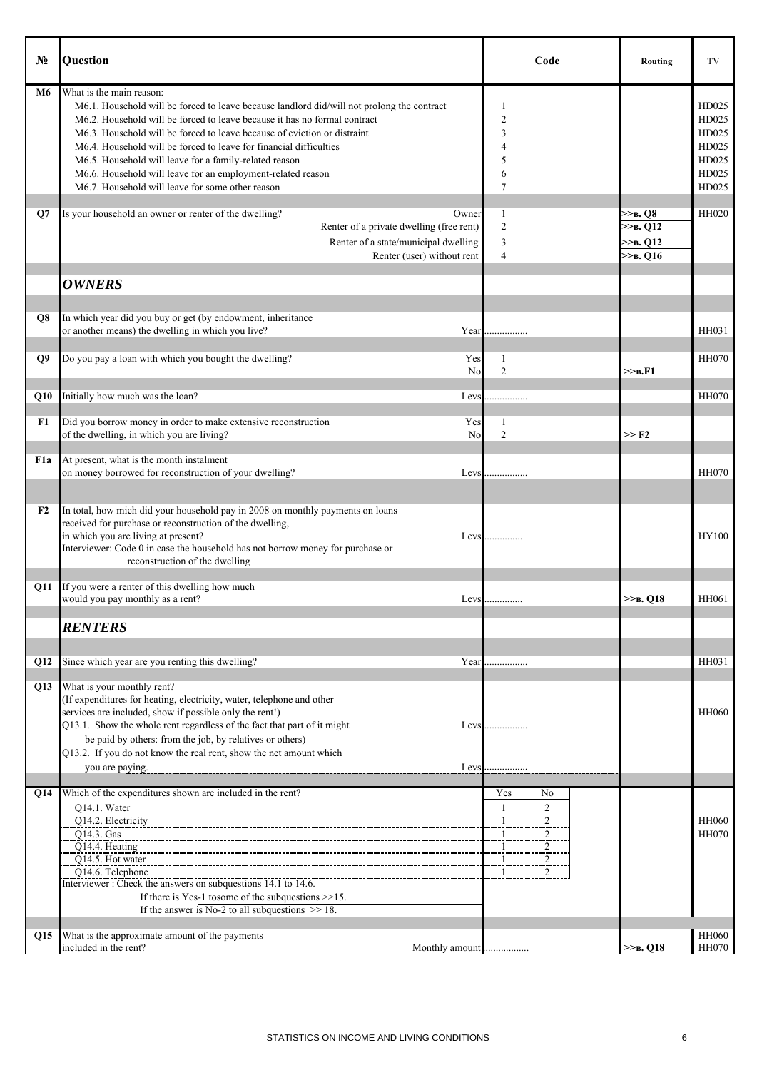| Nº.          | Question                                                                                                                                                                                                                                                                                                                                                                                                                                                                                                                           | Code                                                                                                                   | Routing                                                   | TV                                                          |
|--------------|------------------------------------------------------------------------------------------------------------------------------------------------------------------------------------------------------------------------------------------------------------------------------------------------------------------------------------------------------------------------------------------------------------------------------------------------------------------------------------------------------------------------------------|------------------------------------------------------------------------------------------------------------------------|-----------------------------------------------------------|-------------------------------------------------------------|
| M6           | What is the main reason:<br>M6.1. Household will be forced to leave because landlord did/will not prolong the contract<br>M6.2. Household will be forced to leave because it has no formal contract<br>M6.3. Household will be forced to leave because of eviction or distraint<br>M6.4. Household will be forced to leave for financial difficulties<br>M6.5. Household will leave for a family-related reason<br>M6.6. Household will leave for an employment-related reason<br>M6.7. Household will leave for some other reason | 1<br>$\overline{2}$<br>3<br>4<br>5<br>6<br>7                                                                           |                                                           | HD025<br>HD025<br>HD025<br>HD025<br>HD025<br>HD025<br>HD025 |
| $\mathbf{Q}$ | Is your household an owner or renter of the dwelling?<br>Owner<br>Renter of a private dwelling (free rent)<br>Renter of a state/municipal dwelling<br>Renter (user) without rent                                                                                                                                                                                                                                                                                                                                                   | 1<br>$\overline{2}$<br>3<br>$\overline{4}$                                                                             | $>>b$ . $O8$<br>$>>B$ . Q12<br>$>>B$ . Q12<br>$>>B$ , Q16 | <b>HH020</b>                                                |
|              | <b>OWNERS</b>                                                                                                                                                                                                                                                                                                                                                                                                                                                                                                                      |                                                                                                                        |                                                           |                                                             |
| Q8           | In which year did you buy or get (by endowment, inheritance<br>or another means) the dwelling in which you live?<br>Year                                                                                                                                                                                                                                                                                                                                                                                                           |                                                                                                                        |                                                           | HH031                                                       |
| Q9           | Do you pay a loan with which you bought the dwelling?<br>Yes<br>No                                                                                                                                                                                                                                                                                                                                                                                                                                                                 | $\mathbf{1}$<br>$\overline{2}$                                                                                         | >> <sub>B</sub> F1                                        | <b>HH070</b>                                                |
| Q10          | Initially how much was the loan?<br>Levs                                                                                                                                                                                                                                                                                                                                                                                                                                                                                           | .                                                                                                                      |                                                           | <b>HH070</b>                                                |
| F1           | Did you borrow money in order to make extensive reconstruction<br>Yes<br>of the dwelling, in which you are living?<br>No                                                                                                                                                                                                                                                                                                                                                                                                           | 1<br>$\overline{2}$                                                                                                    | $>>$ F <sub>2</sub>                                       |                                                             |
| F1a          | At present, what is the month instalment<br>on money borrowed for reconstruction of your dwelling?<br>Levs                                                                                                                                                                                                                                                                                                                                                                                                                         |                                                                                                                        |                                                           | <b>HH070</b>                                                |
| F2           | In total, how mich did your household pay in 2008 on monthly payments on loans<br>received for purchase or reconstruction of the dwelling,<br>in which you are living at present?<br>Levs<br>Interviewer: Code 0 in case the household has not borrow money for purchase or<br>reconstruction of the dwelling                                                                                                                                                                                                                      | .                                                                                                                      |                                                           | HY100                                                       |
|              | Q11 If you were a renter of this dwelling how much                                                                                                                                                                                                                                                                                                                                                                                                                                                                                 |                                                                                                                        | $>>B$ , Q18                                               | HH061                                                       |
|              | would you pay monthly as a rent?<br>Levs                                                                                                                                                                                                                                                                                                                                                                                                                                                                                           | .                                                                                                                      |                                                           |                                                             |
|              | <b>RENTERS</b>                                                                                                                                                                                                                                                                                                                                                                                                                                                                                                                     |                                                                                                                        |                                                           |                                                             |
| Q12          | Since which year are you renting this dwelling?                                                                                                                                                                                                                                                                                                                                                                                                                                                                                    | Year                                                                                                                   |                                                           | <b>HH031</b>                                                |
| Q13          | What is your monthly rent?<br>(If expenditures for heating, electricity, water, telephone and other<br>services are included, show if possible only the rent!)<br>Q13.1. Show the whole rent regardless of the fact that part of it might<br>be paid by others: from the job, by relatives or others)<br>Q13.2. If you do not know the real rent, show the net amount which<br>you are paying.<br>Levs                                                                                                                             | Levs                                                                                                                   |                                                           | <b>HH060</b>                                                |
| Q14          | Which of the expenditures shown are included in the rent?                                                                                                                                                                                                                                                                                                                                                                                                                                                                          | Yes<br>No                                                                                                              |                                                           |                                                             |
|              | Q14.1. Water<br>Q14.2. Electricity<br>Q14.3. Gas<br>Q14.4. Heating<br>Q14.5. Hot water<br>Q14.6. Telephone<br>Interviewer : Check the answers on subquestions 14.1 to 14.6.<br>If there is Yes-1 to<br>some of the subquestions $>>15$ .<br>If the answer is No-2 to all subquestions $\gg$ 18.                                                                                                                                                                                                                                    | $\overline{2}$<br>$\mathbf{1}$<br>$\overline{2}$<br>-1<br>$\overline{2}$<br>$\overline{1}$<br>2<br>$\overline{c}$<br>2 |                                                           | <b>HH060</b><br><b>HH070</b>                                |
| Q15          | What is the approximate amount of the payments                                                                                                                                                                                                                                                                                                                                                                                                                                                                                     |                                                                                                                        |                                                           | <b>HH060</b>                                                |
|              | included in the rent?<br>Monthly amount                                                                                                                                                                                                                                                                                                                                                                                                                                                                                            |                                                                                                                        | $>>B$ , Q18                                               | <b>HH070</b>                                                |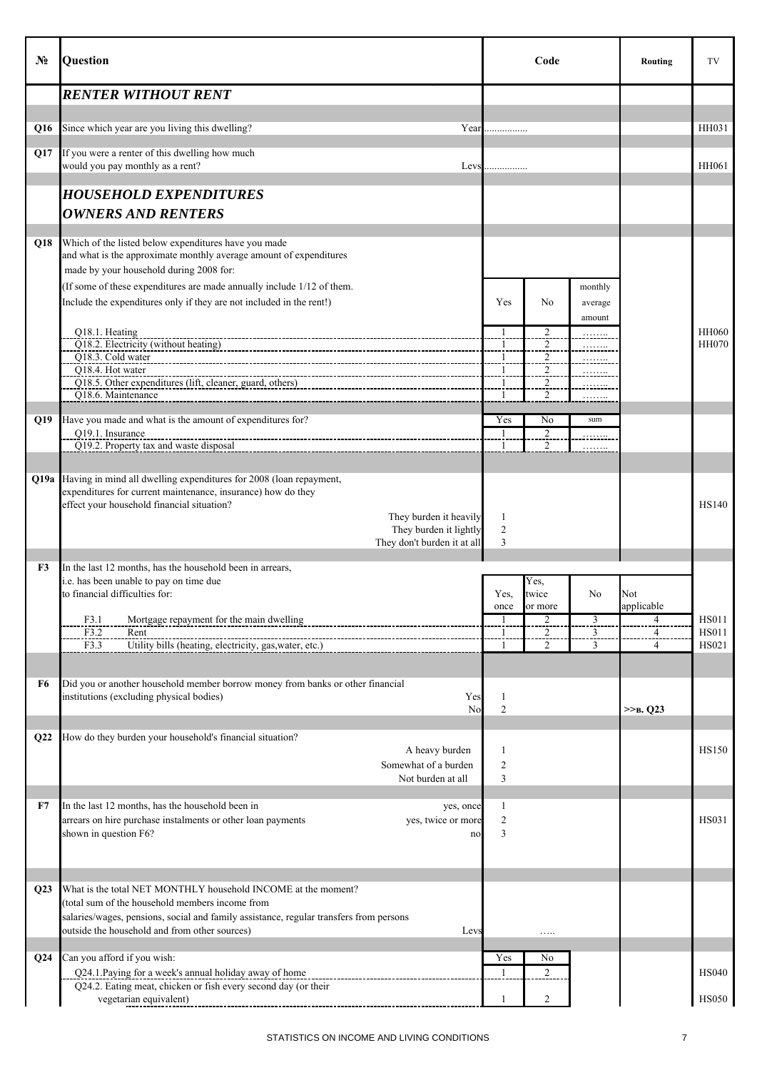| No.             | Question                                                                                                                                                                                                                                                            |                           | Code                             |                               | Routing                  | TV                                           |
|-----------------|---------------------------------------------------------------------------------------------------------------------------------------------------------------------------------------------------------------------------------------------------------------------|---------------------------|----------------------------------|-------------------------------|--------------------------|----------------------------------------------|
|                 | <b>RENTER WITHOUT RENT</b>                                                                                                                                                                                                                                          |                           |                                  |                               |                          |                                              |
| Q16             | Since which year are you living this dwelling?                                                                                                                                                                                                                      | Year                      |                                  |                               |                          | HH031                                        |
| Q17             | If you were a renter of this dwelling how much<br>would you pay monthly as a rent?<br>Levs                                                                                                                                                                          |                           |                                  |                               |                          | HH061                                        |
|                 | <b>HOUSEHOLD EXPENDITURES</b>                                                                                                                                                                                                                                       |                           |                                  |                               |                          |                                              |
|                 | <b>OWNERS AND RENTERS</b>                                                                                                                                                                                                                                           |                           |                                  |                               |                          |                                              |
| Q18             | Which of the listed below expenditures have you made<br>and what is the approximate monthly average amount of expenditures<br>made by your household during 2008 for:                                                                                               |                           |                                  |                               |                          |                                              |
|                 | (If some of these expenditures are made annually include 1/12 of them.<br>Include the expenditures only if they are not included in the rent!)                                                                                                                      | Yes                       | N <sub>0</sub>                   | monthly<br>average<br>amount  |                          |                                              |
|                 | Q18.1. Heating<br>Q18.2. Electricity (without heating)                                                                                                                                                                                                              | $\mathbf{1}$              | $\frac{2}{2}$                    | .                             |                          | <b>HH060</b><br><b>HH070</b>                 |
|                 | Q18.3. Cold water<br>Q18.4. Hot water                                                                                                                                                                                                                               | $\mathbf{1}$              | $\overline{2}$<br>$\overline{c}$ | <u>.</u>                      |                          |                                              |
|                 | Q18.5. Other expenditures (lift, cleaner, guard, others)<br>O18.6. Maintenance                                                                                                                                                                                      |                           | 2<br>$\overline{c}$              |                               |                          |                                              |
|                 |                                                                                                                                                                                                                                                                     |                           |                                  | .                             |                          |                                              |
| Q19             | Have you made and what is the amount of expenditures for?<br>Q19.1. Insurance                                                                                                                                                                                       | Yes<br>1                  | No<br>$\overline{2}$             | sum                           |                          |                                              |
|                 | Q19.2. Property tax and waste disposal                                                                                                                                                                                                                              |                           | 2                                | .                             |                          |                                              |
|                 | Q19a Having in mind all dwelling expenditures for 2008 (loan repayment,<br>expenditures for current maintenance, insurance) how do they<br>effect your household financial situation?                                                                               |                           |                                  |                               |                          | <b>HS140</b>                                 |
|                 | They burden it heavily<br>They burden it lightly<br>They don't burden it at all                                                                                                                                                                                     | 1<br>$\overline{c}$<br>3  |                                  |                               |                          |                                              |
| F3              | In the last 12 months, has the household been in arrears,<br>i.e. has been unable to pay on time due<br>to financial difficulties for:                                                                                                                              | Yes,<br>once              | Yes.<br>twice<br>or more         | N <sub>0</sub>                | Not<br>applicable        |                                              |
|                 | F3.1<br>Mortgage repayment for the main dwelling<br>F3.2<br>Rent<br>F3.3<br>Utility bills (heating, electricity, gas, water, etc.)                                                                                                                                  | $\mathbf{1}$              | $\frac{2}{2}$<br>$\overline{2}$  | $rac{3}{3}$<br>$\overline{3}$ | 4<br>$\overline{4}$<br>4 | <b>HS011</b><br><b>HS011</b><br><b>HS021</b> |
| F6              | Did you or another household member borrow money from banks or other financial<br>institutions (excluding physical bodies)<br>Yes<br>No                                                                                                                             | 1<br>$\mathfrak{2}$       |                                  |                               | $>>B$ , Q23              |                                              |
| Q22             | How do they burden your household's financial situation?<br>A heavy burden<br>Somewhat of a burden                                                                                                                                                                  | 1<br>$\overline{c}$       |                                  |                               |                          | <b>HS150</b>                                 |
| F7              | Not burden at all<br>In the last 12 months, has the household been in<br>yes, once<br>arrears on hire purchase instalments or other loan payments<br>yes, twice or more<br>shown in question F6?<br>no                                                              | 3<br>1<br>$\sqrt{2}$<br>3 |                                  |                               |                          | <b>HS031</b>                                 |
| Q23             | What is the total NET MONTHLY household INCOME at the moment?<br>(total sum of the household members income from<br>salaries/wages, pensions, social and family assistance, regular transfers from persons<br>outside the household and from other sources)<br>Levs |                           | .                                |                               |                          |                                              |
| Q <sub>24</sub> | Can you afford if you wish:<br>Q24.1. Paying for a week's annual holiday away of home<br>Q24.2. Eating meat, chicken or fish every second day (or their<br>vegetarian equivalent)                                                                                   | Yes<br>$\mathbf{1}$       | No<br>$\overline{2}$<br>2        |                               |                          | <b>HS040</b><br><b>HS050</b>                 |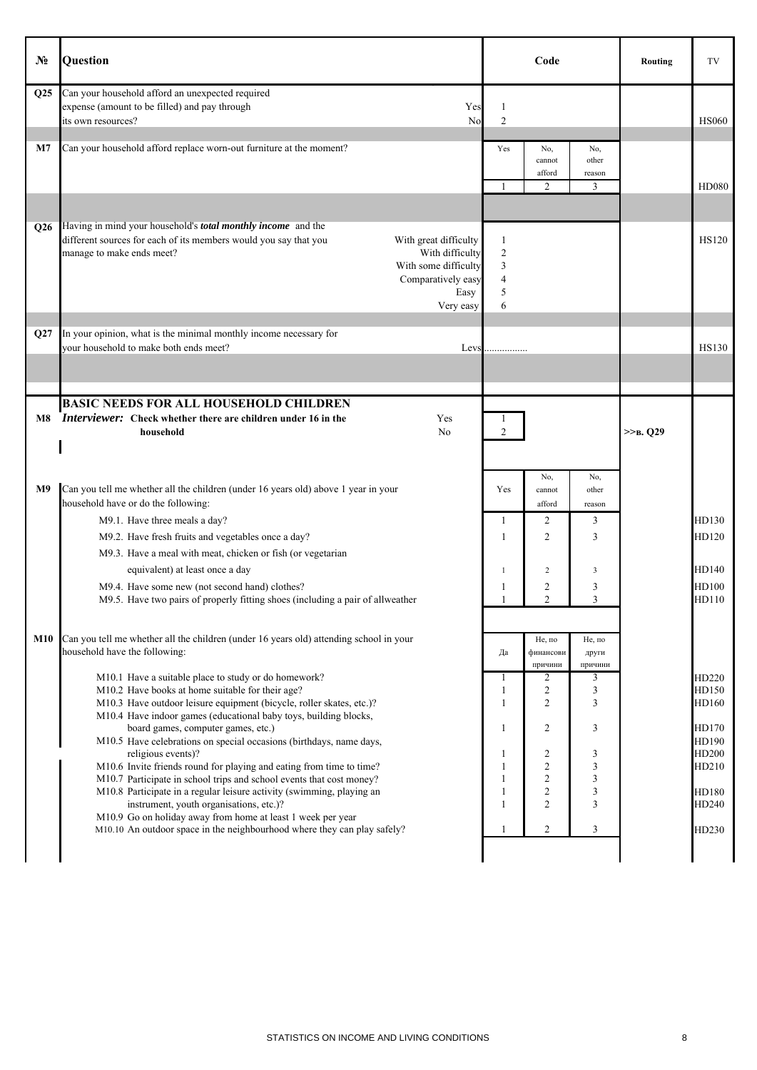| $N_2$          | Question                                                                                                                                                                                                                                                                            |                                                      | Code                                                             |                             | Routing       | TV                               |
|----------------|-------------------------------------------------------------------------------------------------------------------------------------------------------------------------------------------------------------------------------------------------------------------------------------|------------------------------------------------------|------------------------------------------------------------------|-----------------------------|---------------|----------------------------------|
| Q25            | Can your household afford an unexpected required<br>expense (amount to be filled) and pay through<br>Yes<br>its own resources?<br>No                                                                                                                                                | -1<br>$\overline{2}$                                 |                                                                  |                             |               | <b>HS060</b>                     |
| M <sub>7</sub> | Can your household afford replace worn-out furniture at the moment?                                                                                                                                                                                                                 | Yes<br>$\mathbf{1}$                                  | No,<br>cannot<br>afford<br>2                                     | No,<br>other<br>reason<br>3 |               | <b>HD080</b>                     |
| Q26            | Having in mind your household's <i>total monthly income</i> and the<br>different sources for each of its members would you say that you<br>With great difficulty<br>With difficulty<br>manage to make ends meet?<br>With some difficulty<br>Comparatively easy<br>Easy<br>Very easy | 1<br>$\overline{2}$<br>3<br>$\overline{4}$<br>5<br>6 |                                                                  |                             |               | <b>HS120</b>                     |
| Q27            | In your opinion, what is the minimal monthly income necessary for<br>your household to make both ends meet?<br>Levs                                                                                                                                                                 |                                                      |                                                                  |                             |               | <b>HS130</b>                     |
| M8             | <b>BASIC NEEDS FOR ALL HOUSEHOLD CHILDREN</b><br>Interviewer: Check whether there are children under 16 in the<br>Yes<br>household<br>N <sub>0</sub>                                                                                                                                | 1<br>$\overline{2}$                                  |                                                                  |                             | $>>B$ , $O29$ |                                  |
| M <sub>9</sub> | Can you tell me whether all the children (under 16 years old) above 1 year in your<br>household have or do the following:                                                                                                                                                           | Yes                                                  | No,<br>cannot<br>afford                                          | No,<br>other<br>reason      |               |                                  |
|                | M9.1. Have three meals a day?<br>M9.2. Have fresh fruits and vegetables once a day?<br>M9.3. Have a meal with meat, chicken or fish (or vegetarian                                                                                                                                  | 1<br>1                                               | 2<br>$\overline{c}$                                              | 3<br>3                      |               | HD130<br>HD120                   |
|                | equivalent) at least once a day<br>M9.4. Have some new (not second hand) clothes?<br>M9.5. Have two pairs of properly fitting shoes (including a pair of allweather                                                                                                                 | -1<br>1                                              | $\overline{c}$<br>$\overline{c}$<br>$\overline{2}$               | 3<br>3<br>3                 |               | HD140<br>HD100<br>HD110          |
| M10            | Can you tell me whether all the children (under 16 years old) attending school in your<br>household have the following:                                                                                                                                                             | Да                                                   | Не, по<br>финансови<br>причини                                   | Не, по<br>други<br>причини  |               |                                  |
|                | M10.1 Have a suitable place to study or do homework?<br>M10.2 Have books at home suitable for their age?<br>M10.3 Have outdoor leisure equipment (bicycle, roller skates, etc.)?<br>M10.4 Have indoor games (educational baby toys, building blocks,                                | $\mathbf{1}$<br>$\mathbf{1}$<br>1                    | $\overline{2}$<br>$\overline{c}$<br>$\overline{c}$               | 3<br>3<br>3                 |               | HD220<br>HD150<br>HD160          |
|                | board games, computer games, etc.)<br>M10.5 Have celebrations on special occasions (birthdays, name days,<br>religious events)?<br>M10.6 Invite friends round for playing and eating from time to time?<br>M10.7 Participate in school trips and school events that cost money?     | 1<br>1<br>$\mathbf{1}$<br>1                          | $\overline{2}$<br>$\overline{c}$<br>$\overline{c}$<br>$\sqrt{2}$ | 3<br>3<br>3<br>3            |               | HD170<br>HD190<br>HD200<br>HD210 |
|                | M10.8 Participate in a regular leisure activity (swimming, playing an<br>instrument, youth organisations, etc.)?<br>M10.9 Go on holiday away from home at least 1 week per year<br>M10.10 An outdoor space in the neighbourhood where they can play safely?                         | $\mathbf{1}$<br>$\mathbf{1}$<br>1                    | $\sqrt{2}$<br>$\overline{2}$<br>$\overline{c}$                   | 3<br>3<br>3                 |               | HD180<br>HD240<br>HD230          |
|                |                                                                                                                                                                                                                                                                                     |                                                      |                                                                  |                             |               |                                  |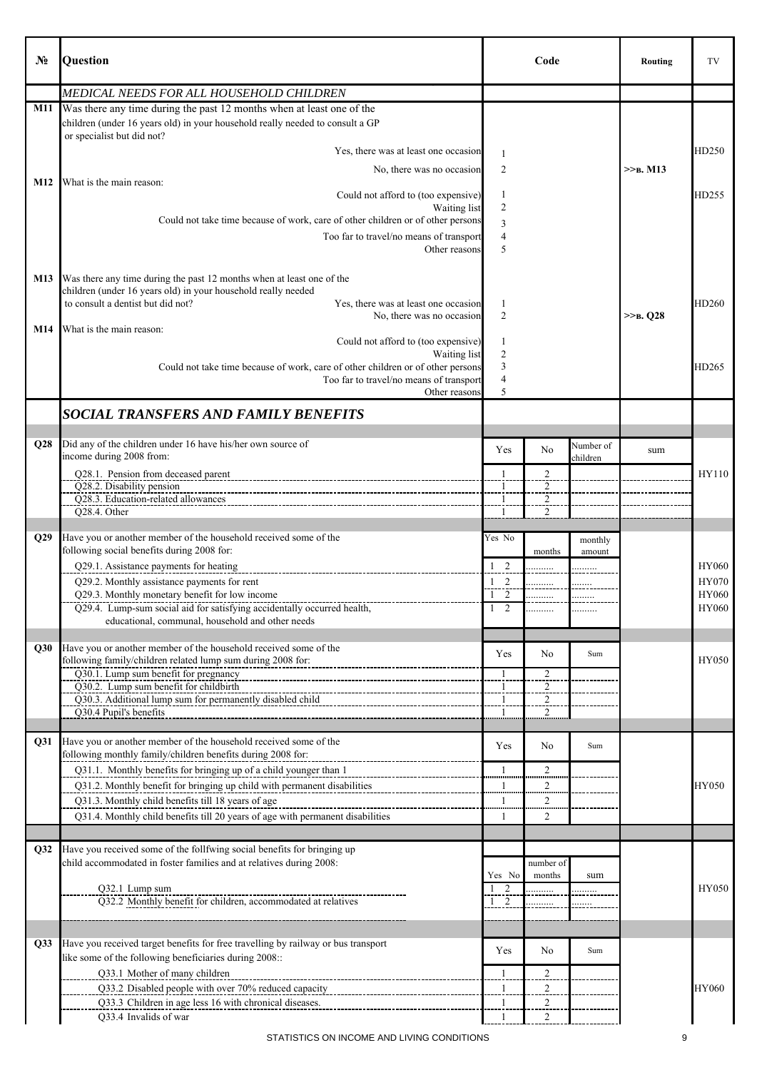| No.        | Question                                                                                                                  |                                    | Code                |           | Routing     | TV                    |
|------------|---------------------------------------------------------------------------------------------------------------------------|------------------------------------|---------------------|-----------|-------------|-----------------------|
|            | MEDICAL NEEDS FOR ALL HOUSEHOLD CHILDREN                                                                                  |                                    |                     |           |             |                       |
| <b>M11</b> | Was there any time during the past 12 months when at least one of the                                                     |                                    |                     |           |             |                       |
|            | children (under 16 years old) in your household really needed to consult a GP<br>or specialist but did not?               |                                    |                     |           |             |                       |
|            | Yes, there was at least one occasion                                                                                      | 1                                  |                     |           |             | HD250                 |
|            | No, there was no occasion                                                                                                 | 2                                  |                     |           | $>>B$ . M13 |                       |
| M12        | What is the main reason:                                                                                                  |                                    |                     |           |             |                       |
|            | Could not afford to (too expensive)                                                                                       | 1                                  |                     |           |             | HD255                 |
|            | Waiting list<br>Could not take time because of work, care of other children or of other persons                           | $\overline{2}$                     |                     |           |             |                       |
|            |                                                                                                                           | 3<br>$\overline{4}$                |                     |           |             |                       |
|            | Too far to travel/no means of transport<br>Other reasons                                                                  | 5                                  |                     |           |             |                       |
|            |                                                                                                                           |                                    |                     |           |             |                       |
| M13        | Was there any time during the past 12 months when at least one of the                                                     |                                    |                     |           |             |                       |
|            | children (under 16 years old) in your household really needed                                                             |                                    |                     |           |             |                       |
|            | to consult a dentist but did not?<br>Yes, there was at least one occasion                                                 | $\mathbf{1}$                       |                     |           |             | HD260                 |
|            | No, there was no occasion                                                                                                 | $\overline{2}$                     |                     |           | $>>B$ , Q28 |                       |
| M14        | What is the main reason:                                                                                                  |                                    |                     |           |             |                       |
|            | Could not afford to (too expensive)<br>Waiting list                                                                       | 1<br>$\overline{2}$                |                     |           |             |                       |
|            | Could not take time because of work, care of other children or of other persons                                           | 3                                  |                     |           |             | HD265                 |
|            | Too far to travel/no means of transport                                                                                   | $\overline{4}$                     |                     |           |             |                       |
|            | Other reasons                                                                                                             | 5                                  |                     |           |             |                       |
|            | <b>SOCIAL TRANSFERS AND FAMILY BENEFITS</b>                                                                               |                                    |                     |           |             |                       |
|            |                                                                                                                           |                                    |                     |           |             |                       |
| Q28        | Did any of the children under 16 have his/her own source of                                                               |                                    |                     | Number of |             |                       |
|            | income during 2008 from:                                                                                                  | Yes                                | No                  | children  | sum         |                       |
|            | Q28.1. Pension from deceased parent                                                                                       |                                    | $\mathfrak{2}$      |           |             | HY110                 |
|            | Q28.2. Disability pension                                                                                                 | $\mathbf{1}$                       | $\overline{2}$      |           |             |                       |
|            | Q28.3. Education-related allowances                                                                                       |                                    | $\overline{c}$      |           |             |                       |
|            | Q28.4. Other                                                                                                              | $\mathbf{1}$                       | $\overline{2}$      |           |             |                       |
|            |                                                                                                                           |                                    |                     |           |             |                       |
| Q29        | Have you or another member of the household received some of the<br>following social benefits during 2008 for:            | Yes No                             |                     | monthly   |             |                       |
|            |                                                                                                                           |                                    | months              | amount    |             |                       |
|            | Q29.1. Assistance payments for heating                                                                                    | $1\quad 2$                         | .                   |           |             | <b>HY060</b>          |
|            | Q29.2. Monthly assistance payments for rent                                                                               | 2<br>$\mathbf{1}$<br>2<br>-1       | .                   |           |             | <b>HY070</b><br>HY060 |
|            | Q29.3. Monthly monetary benefit for low income<br>Q29.4. Lump-sum social aid for satisfying accidentally occurred health, | $\overline{2}$                     | .                   |           |             | HY060                 |
|            | educational, communal, household and other needs                                                                          |                                    |                     |           |             |                       |
|            |                                                                                                                           |                                    |                     |           |             |                       |
| Q30        | Have you or another member of the household received some of the                                                          | Yes                                | N <sub>0</sub>      | Sum       |             |                       |
|            | following family/children related lump sum during 2008 for:                                                               |                                    |                     |           |             | HY050                 |
|            | Q30.1. Lump sum benefit for pregnancy<br>Q30.2. Lump sum benefit for childbirth                                           | $\overline{\mathbf{1}}$<br>$\,1\,$ | $\frac{2}{2}$       |           |             |                       |
|            | Q30.3. Additional lump sum for permanently disabled child                                                                 | $\mathbf{1}$                       |                     |           |             |                       |
|            | Q30.4 Pupil's benefits                                                                                                    | $\mathbf{1}$                       | $\overline{c}$      |           |             |                       |
|            |                                                                                                                           |                                    |                     |           |             |                       |
| Q31        | Have you or another member of the household received some of the                                                          | Yes                                | No                  | Sum       |             |                       |
|            | following monthly family/children benefits during 2008 for:                                                               |                                    |                     |           |             |                       |
|            | Q31.1. Monthly benefits for bringing up of a child younger than 1                                                         | $\mathbf{1}$                       | $\overline{2}$      |           |             |                       |
|            | Q31.2. Monthly benefit for bringing up child with permanent disabilities                                                  | 1<br>                              | $\overline{2}$<br>. |           |             | <b>HY050</b>          |
|            | Q31.3. Monthly child benefits till 18 years of age                                                                        | $\mathbf{1}$                       | $\overline{c}$<br>  |           |             |                       |
|            | Q31.4. Monthly child benefits till 20 years of age with permanent disabilities                                            | 1                                  | $\overline{2}$      |           |             |                       |
|            |                                                                                                                           |                                    |                     |           |             |                       |
| Q32        | Have you received some of the follfwing social benefits for bringing up                                                   |                                    |                     |           |             |                       |
|            | child accommodated in foster families and at relatives during 2008:                                                       |                                    | number of           |           |             |                       |
|            |                                                                                                                           | Yes No                             | months              | sum       |             |                       |
|            | Q32.1 Lump sum                                                                                                            | $\frac{1}{1}$ $\frac{2}{2}$        |                     |           |             | <b>HY050</b>          |
|            | Q32.2 Monthly benefit for children, accommodated at relatives                                                             |                                    |                     |           |             |                       |
|            |                                                                                                                           |                                    |                     |           |             |                       |
| Q33        | Have you received target benefits for free travelling by railway or bus transport                                         |                                    |                     |           |             |                       |
|            | like some of the following beneficiaries during 2008::                                                                    | Yes                                | No                  | Sum       |             |                       |
|            | Q33.1 Mother of many children                                                                                             | $\mathbf{1}$                       | $\overline{c}$      |           |             |                       |
|            | Q33.2 Disabled people with over 70% reduced capacity                                                                      | $\overline{\mathbf{1}}$            | $\overline{2}$      |           |             | HY060                 |
|            | Q33.3 Children in age less 16 with chronical diseases.                                                                    | $\perp$                            | $\overline{a}$      |           |             |                       |
|            | Q33.4 Invalids of war                                                                                                     | -1                                 | 2                   |           |             |                       |
|            |                                                                                                                           |                                    |                     |           |             |                       |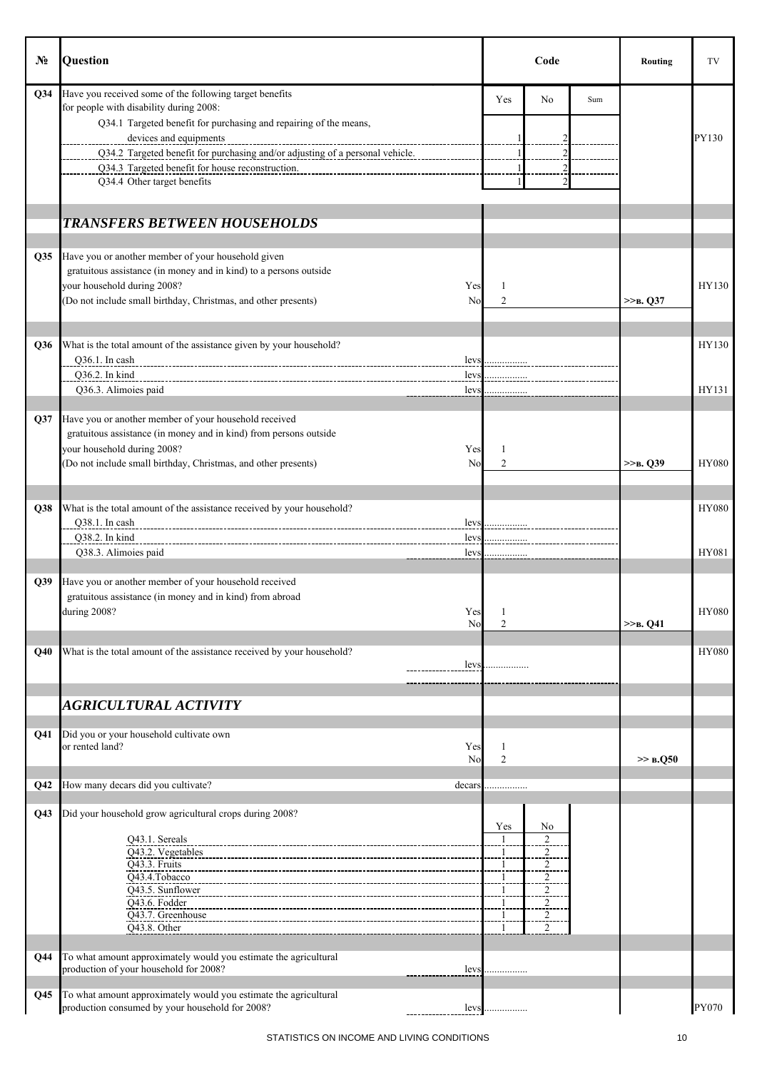| $N_2$           | Question                                                                                                                    |                      | Code                             |     | Routing     | TV           |
|-----------------|-----------------------------------------------------------------------------------------------------------------------------|----------------------|----------------------------------|-----|-------------|--------------|
| Q34             | Have you received some of the following target benefits                                                                     | Yes                  | No                               | Sum |             |              |
|                 | for people with disability during 2008:<br>Q34.1 Targeted benefit for purchasing and repairing of the means,                |                      |                                  |     |             |              |
|                 | devices and equipments                                                                                                      |                      |                                  |     |             | PY130        |
|                 | Q34.2 Targeted benefit for purchasing and/or adjusting of a personal vehicle.                                               |                      |                                  |     |             |              |
|                 | Q34.3 Targeted benefit for house reconstruction.                                                                            |                      |                                  |     |             |              |
|                 | Q34.4 Other target benefits                                                                                                 |                      |                                  |     |             |              |
|                 | <b>TRANSFERS BETWEEN HOUSEHOLDS</b>                                                                                         |                      |                                  |     |             |              |
|                 |                                                                                                                             |                      |                                  |     |             |              |
| Q <sub>35</sub> | Have you or another member of your household given<br>gratuitous assistance (in money and in kind) to a persons outside     |                      |                                  |     |             |              |
|                 | your household during 2008?<br>Yes                                                                                          | 1                    |                                  |     |             | HY130        |
|                 | (Do not include small birthday, Christmas, and other presents)<br>No                                                        | $\overline{2}$       |                                  |     | $>>B$ , Q37 |              |
|                 |                                                                                                                             |                      |                                  |     |             |              |
| Q36             | What is the total amount of the assistance given by your household?                                                         |                      |                                  |     |             | HY130        |
|                 | Q36.1. In cash<br>levs                                                                                                      |                      |                                  |     |             |              |
|                 | <b>O36.2.</b> In kind<br>levs                                                                                               |                      |                                  |     |             |              |
|                 | Q36.3. Alimoies paid<br>levs                                                                                                | .                    |                                  |     |             | HY131        |
| Q37             | Have you or another member of your household received                                                                       |                      |                                  |     |             |              |
|                 | gratuitous assistance (in money and in kind) from persons outside                                                           |                      |                                  |     |             |              |
|                 | your household during 2008?<br>Yes                                                                                          | 1                    |                                  |     |             |              |
|                 | (Do not include small birthday, Christmas, and other presents)<br>No                                                        | $\overline{c}$       |                                  |     | $>>B$ , Q39 | <b>HY080</b> |
|                 |                                                                                                                             |                      |                                  |     |             |              |
| Q38             | What is the total amount of the assistance received by your household?                                                      |                      |                                  |     |             | <b>HY080</b> |
|                 | Q38.1. In cash<br>levs                                                                                                      |                      |                                  |     |             |              |
|                 | Q38.2. In kind<br>levs                                                                                                      |                      |                                  |     |             |              |
|                 | Q38.3. Alimoies paid<br>levs                                                                                                |                      |                                  |     |             | HY081        |
| Q39             | Have you or another member of your household received                                                                       |                      |                                  |     |             |              |
|                 | gratuitous assistance (in money and in kind) from abroad                                                                    |                      |                                  |     |             |              |
|                 | during 2008?<br>Yes                                                                                                         | -1<br>$\overline{2}$ |                                  |     |             | <b>HY080</b> |
|                 | No                                                                                                                          |                      |                                  |     | $>>B$ , Q41 |              |
| Q40             | What is the total amount of the assistance received by your household?                                                      |                      |                                  |     |             | HY080        |
|                 | levs                                                                                                                        |                      |                                  |     |             |              |
|                 |                                                                                                                             |                      |                                  |     |             |              |
|                 | AGRICULTURAL ACTIVITY                                                                                                       |                      |                                  |     |             |              |
| Q41             | Did you or your household cultivate own                                                                                     |                      |                                  |     |             |              |
|                 | or rented land?<br>Yes                                                                                                      | 1                    |                                  |     |             |              |
|                 | No                                                                                                                          | $\overline{2}$       |                                  |     | $\gg$ B.Q50 |              |
| Q <sub>42</sub> | How many decars did you cultivate?<br>decars                                                                                |                      |                                  |     |             |              |
|                 |                                                                                                                             |                      |                                  |     |             |              |
| Q <sub>43</sub> | Did your household grow agricultural crops during 2008?                                                                     | Yes                  | No                               |     |             |              |
|                 | Q43.1. Sereals                                                                                                              | $\mathbf{1}$         | $\overline{2}$                   |     |             |              |
|                 | Q43.2. Vegetables<br>Q43.3. Fruits                                                                                          | $\mathbf{1}$         | $\overline{2}$                   |     |             |              |
|                 | Q43.4.Tobacco                                                                                                               | $\overline{1}$<br>1  | $\overline{2}$<br>2              |     |             |              |
|                 | Q43.5. Sunflower                                                                                                            | 1                    | $\overline{c}$                   |     |             |              |
|                 | Q43.6. Fodder<br>Q43.7. Greenhouse                                                                                          | $\frac{1}{1}$        | $\overline{c}$<br>$\overline{c}$ |     |             |              |
|                 | Q43.8. Other                                                                                                                | $\mathbf{1}$         | $\overline{2}$                   |     |             |              |
|                 |                                                                                                                             |                      |                                  |     |             |              |
| Q44             | To what amount approximately would you estimate the agricultural<br>production of your household for 2008?<br>levs          |                      |                                  |     |             |              |
|                 |                                                                                                                             |                      |                                  |     |             |              |
| Q <sub>45</sub> | To what amount approximately would you estimate the agricultural<br>production consumed by your household for 2008?<br>levs |                      |                                  |     |             | PY070        |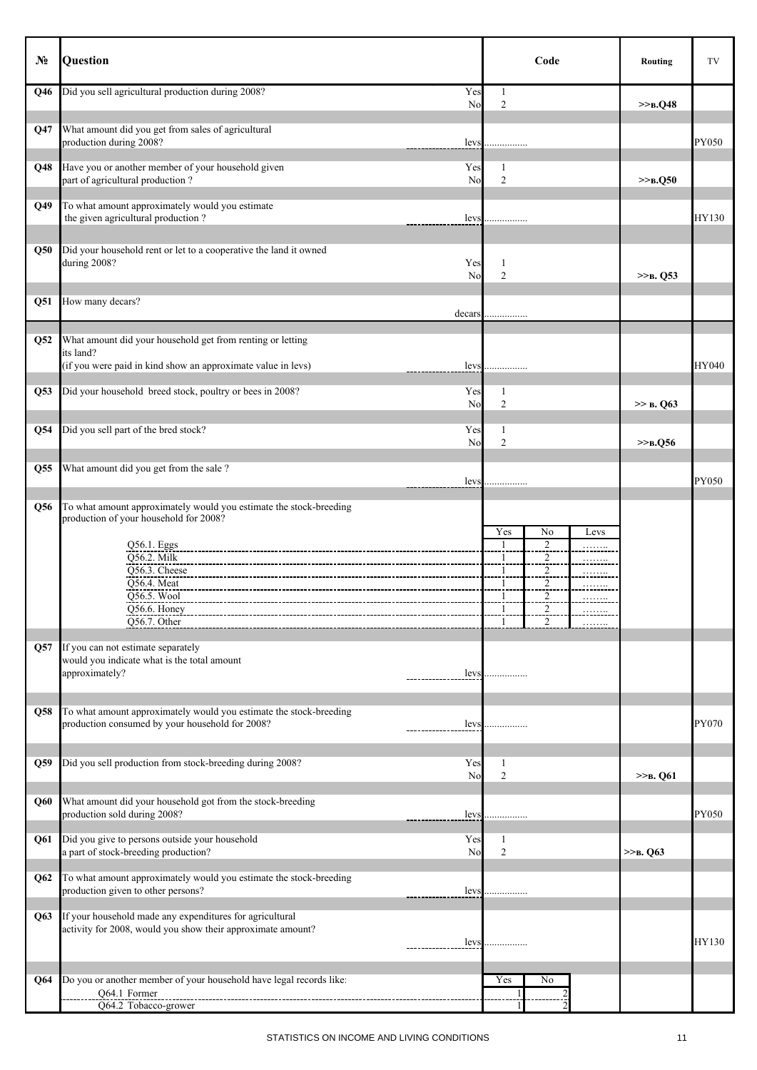| Nº. | Question                                                                                                                                                                                                                  | Code                                                                                                                                             | Routing              | TV           |
|-----|---------------------------------------------------------------------------------------------------------------------------------------------------------------------------------------------------------------------------|--------------------------------------------------------------------------------------------------------------------------------------------------|----------------------|--------------|
| Q46 | Did you sell agricultural production during 2008?<br>Yes<br>No                                                                                                                                                            | $\mathbf{1}$<br>2                                                                                                                                | >> <sub>B</sub> .Q48 |              |
| Q47 | What amount did you get from sales of agricultural<br>production during 2008?<br>levs                                                                                                                                     |                                                                                                                                                  |                      | PY050        |
| Q48 | Have you or another member of your household given<br>Yes<br>part of agricultural production?<br>No                                                                                                                       | 1<br>2                                                                                                                                           | $>>B$ , Q50          |              |
| Q49 | To what amount approximately would you estimate<br>the given agricultural production?<br>levs                                                                                                                             |                                                                                                                                                  |                      | HY130        |
| Q50 | Did your household rent or let to a cooperative the land it owned<br>during 2008?<br>Yes<br>No                                                                                                                            | 1<br>$\mathfrak{2}$                                                                                                                              | $>>B$ , Q53          |              |
| Q51 | How many decars?<br>decars                                                                                                                                                                                                |                                                                                                                                                  |                      |              |
| Q52 | What amount did your household get from renting or letting<br>its land?<br>(if you were paid in kind show an approximate value in levs)<br>levs                                                                           | .                                                                                                                                                |                      | <b>HY040</b> |
| Q53 | Did your household breed stock, poultry or bees in 2008?<br>Yes<br>No                                                                                                                                                     | 1<br>2                                                                                                                                           | >> B. Q63            |              |
| Q54 | Did you sell part of the bred stock?<br>Yes<br>No                                                                                                                                                                         | 1<br>2                                                                                                                                           | $>>B$ , Q56          |              |
| Q55 | What amount did you get from the sale ?<br>levs                                                                                                                                                                           |                                                                                                                                                  |                      | PY050        |
| Q56 | To what amount approximately would you estimate the stock-breeding<br>production of your household for 2008?<br>Q56.1. Eggs<br>Q56.2. Milk<br>Q56.3. Cheese<br>Q56.4. Meat<br>Q56.5. Wool<br>Q56.6. Honey<br>Q56.7. Other | Yes<br>No<br>Levs<br>$\overline{\mathbf{c}}$<br>$\mathbf{1}$<br>2<br>$\overline{c}$<br>1<br>2<br>1<br>2<br>1<br><br>$\mathbf{1}$<br><sup>1</sup> |                      |              |
| Q57 | If you can not estimate separately<br>would you indicate what is the total amount<br>approximately?<br>levs                                                                                                               |                                                                                                                                                  |                      |              |
| Q58 | To what amount approximately would you estimate the stock-breeding<br>production consumed by your household for 2008?<br>levs                                                                                             |                                                                                                                                                  |                      | PY070        |
| Q59 | Did you sell production from stock-breeding during 2008?<br>Yes<br>No                                                                                                                                                     | 1<br>$\mathfrak{2}$                                                                                                                              | $>>B$ . Q61          |              |
| Q60 | What amount did your household got from the stock-breeding<br>production sold during 2008?<br>levs                                                                                                                        |                                                                                                                                                  |                      | PY050        |
| Q61 | Did you give to persons outside your household<br>Yes<br>a part of stock-breeding production?<br>No                                                                                                                       | 1<br>$\mathbf{2}$                                                                                                                                | $>>B$ . Q63          |              |
| Q62 | To what amount approximately would you estimate the stock-breeding<br>production given to other persons?<br>levs                                                                                                          |                                                                                                                                                  |                      |              |
| Q63 | If your household made any expenditures for agricultural<br>activity for 2008, would you show their approximate amount?<br>levs                                                                                           |                                                                                                                                                  |                      | HY130        |
| Q64 | Do you or another member of your household have legal records like:<br>Q64.1 Former<br>Q64.2 Tobacco-grower                                                                                                               | Yes<br>No                                                                                                                                        |                      |              |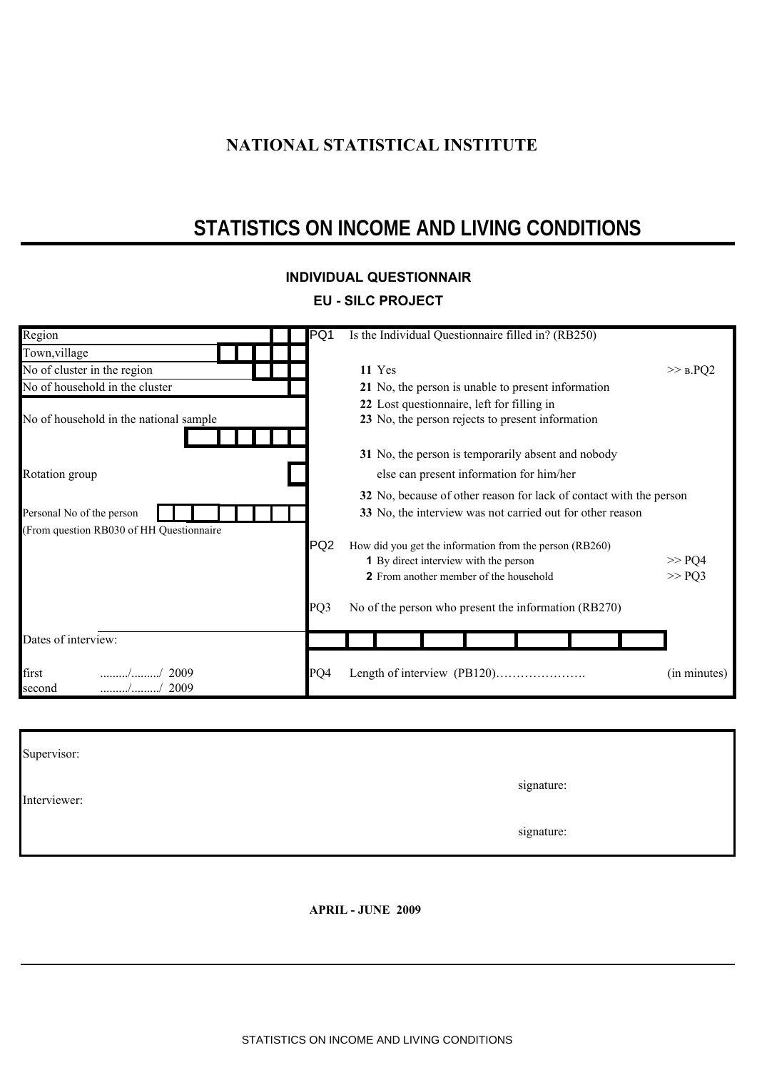# **NATIONAL STATISTICAL INSTITUTE**

# **STATISTICS ON INCOME AND LIVING CONDITIONS**

## **INDIVIDUAL QUESTIONNAIR**

# **ЕU - SILC PROJECT**

| Region                                   | PQ1             | Is the Individual Questionnaire filled in? (RB250)                 |              |  |  |  |  |
|------------------------------------------|-----------------|--------------------------------------------------------------------|--------------|--|--|--|--|
| Town, village                            |                 |                                                                    |              |  |  |  |  |
| No of cluster in the region              |                 | 11 Yes                                                             | $>>$ $B.PQ2$ |  |  |  |  |
| No of household in the cluster           |                 | 21 No, the person is unable to present information                 |              |  |  |  |  |
|                                          |                 | 22 Lost questionnaire, left for filling in                         |              |  |  |  |  |
| No of household in the national sample   |                 | 23 No, the person rejects to present information                   |              |  |  |  |  |
|                                          |                 | 31 No, the person is temporarily absent and nobody                 |              |  |  |  |  |
| Rotation group                           |                 | else can present information for him/her                           |              |  |  |  |  |
|                                          |                 | 32 No, because of other reason for lack of contact with the person |              |  |  |  |  |
| Personal No of the person                |                 | 33 No, the interview was not carried out for other reason          |              |  |  |  |  |
| (From question RB030 of HH Questionnaire |                 |                                                                    |              |  |  |  |  |
|                                          | PQ <sub>2</sub> | How did you get the information from the person (RB260)            |              |  |  |  |  |
|                                          |                 | <b>1</b> By direct interview with the person                       | >> PQ4       |  |  |  |  |
|                                          |                 | 2 From another member of the household                             | >> PQ3       |  |  |  |  |
|                                          | PQ3             | No of the person who present the information (RB270)               |              |  |  |  |  |
| Dates of interview:                      |                 |                                                                    |              |  |  |  |  |
| first<br>2009<br>2009<br>second          | PQ4             |                                                                    | (in minutes) |  |  |  |  |

| Supervisor:  |            |
|--------------|------------|
| Interviewer: | signature: |
|              | signature: |

**APRIL - JUNE 2009**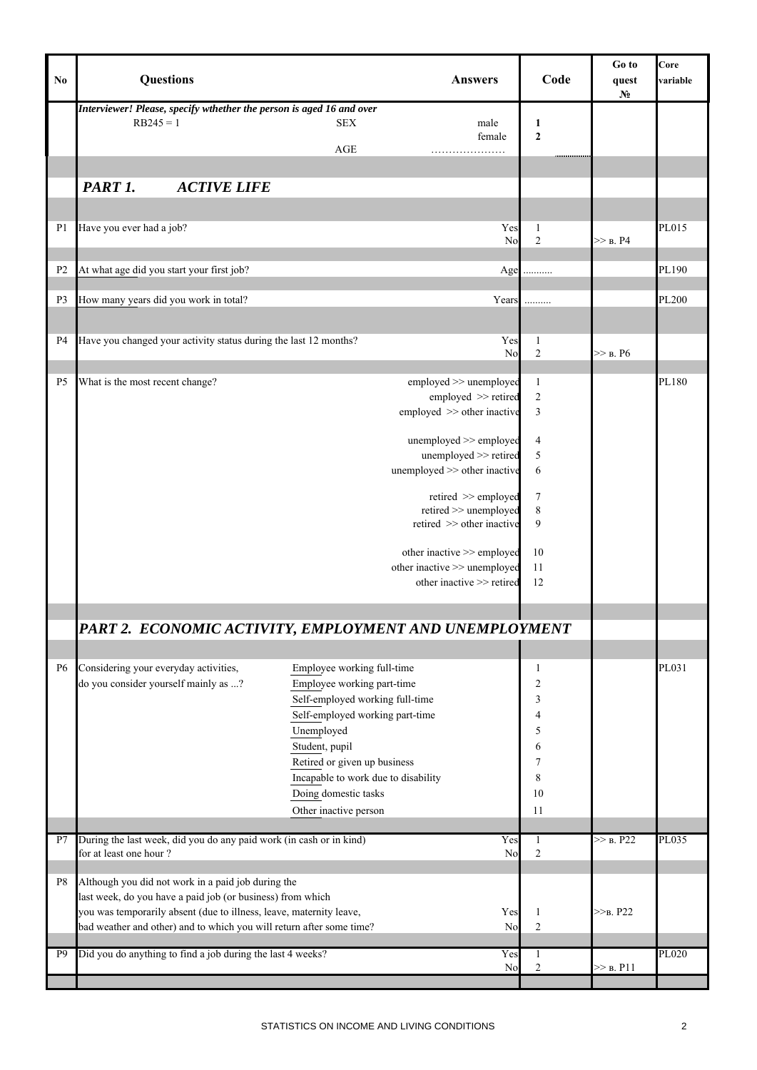| N <sub>0</sub> | <b>Questions</b>                                                                                                                                                                                                                                                |                                                                                                                                                                                                                                                                                        | <b>Answers</b>                                                            | Code                                                        | Go to<br>quest<br>N <sub>2</sub> | Core<br>variable |
|----------------|-----------------------------------------------------------------------------------------------------------------------------------------------------------------------------------------------------------------------------------------------------------------|----------------------------------------------------------------------------------------------------------------------------------------------------------------------------------------------------------------------------------------------------------------------------------------|---------------------------------------------------------------------------|-------------------------------------------------------------|----------------------------------|------------------|
|                | Interviewer! Please, specify wthether the person is aged 16 and over<br>$RB245 = 1$                                                                                                                                                                             | <b>SEX</b><br>AGE                                                                                                                                                                                                                                                                      | male<br>female                                                            | 1<br>$\mathbf{2}$<br>.                                      |                                  |                  |
|                | PART 1.<br><b>ACTIVE LIFE</b>                                                                                                                                                                                                                                   |                                                                                                                                                                                                                                                                                        |                                                                           |                                                             |                                  |                  |
|                |                                                                                                                                                                                                                                                                 |                                                                                                                                                                                                                                                                                        |                                                                           |                                                             |                                  |                  |
| P <sub>1</sub> | Have you ever had a job?                                                                                                                                                                                                                                        |                                                                                                                                                                                                                                                                                        | Yes<br>No                                                                 | 1<br>$\sqrt{2}$                                             | >> в. Р4                         | PL015            |
| P <sub>2</sub> | At what age did you start your first job?                                                                                                                                                                                                                       |                                                                                                                                                                                                                                                                                        | Age                                                                       | .                                                           |                                  | PL190            |
| P <sub>3</sub> | How many years did you work in total?                                                                                                                                                                                                                           |                                                                                                                                                                                                                                                                                        | Years                                                                     | .                                                           |                                  | <b>PL200</b>     |
| P4             | Have you changed your activity status during the last 12 months?                                                                                                                                                                                                |                                                                                                                                                                                                                                                                                        | Yes                                                                       | $\mathbf{1}$                                                |                                  |                  |
|                |                                                                                                                                                                                                                                                                 |                                                                                                                                                                                                                                                                                        | N <sub>o</sub>                                                            | $\sqrt{2}$                                                  | $>>$ B. P6                       |                  |
| P <sub>5</sub> | What is the most recent change?                                                                                                                                                                                                                                 | employed >> unemployed<br>employed >> other inactive<br>unemployed >> employed                                                                                                                                                                                                         | employed >> retired<br>unemployed >> retired                              | $\mathbf{1}$<br>$\sqrt{2}$<br>3<br>$\overline{4}$<br>5      |                                  | PL180            |
|                |                                                                                                                                                                                                                                                                 | unemployed >> other inactive<br>retired >> other inactive<br>other inactive >> employed<br>other inactive >> unemployed                                                                                                                                                                | retired >> employed<br>retired >> unemployed<br>other inactive >> retired | 6<br>$\tau$<br>$\,$ 8 $\,$<br>9<br>10<br>11<br>12           |                                  |                  |
|                |                                                                                                                                                                                                                                                                 |                                                                                                                                                                                                                                                                                        |                                                                           |                                                             |                                  |                  |
|                | PART 2. ECONOMIC ACTIVITY, EMPLOYMENT AND UNEMPLOYMENT                                                                                                                                                                                                          |                                                                                                                                                                                                                                                                                        |                                                                           |                                                             |                                  |                  |
|                |                                                                                                                                                                                                                                                                 |                                                                                                                                                                                                                                                                                        |                                                                           |                                                             |                                  |                  |
| <b>P6</b>      | Considering your everyday activities,<br>do you consider yourself mainly as ?                                                                                                                                                                                   | Employee working full-time<br>Employee working part-time<br>Self-employed working full-time<br>Self-employed working part-time<br>Unemployed<br>Student, pupil<br>Retired or given up business<br>Incapable to work due to disability<br>Doing domestic tasks<br>Other inactive person |                                                                           | $\mathbf{1}$<br>2<br>3<br>4<br>5<br>6<br>7<br>8<br>10<br>11 |                                  | PL031            |
| P7             | During the last week, did you do any paid work (in cash or in kind)                                                                                                                                                                                             |                                                                                                                                                                                                                                                                                        | Yes                                                                       | 1                                                           | >> B. P22                        | PL035            |
|                | for at least one hour?                                                                                                                                                                                                                                          |                                                                                                                                                                                                                                                                                        | No                                                                        | $\boldsymbol{2}$                                            |                                  |                  |
| P8             | Although you did not work in a paid job during the<br>last week, do you have a paid job (or business) from which<br>you was temporarily absent (due to illness, leave, maternity leave,<br>bad weather and other) and to which you will return after some time? |                                                                                                                                                                                                                                                                                        | Yes<br>No                                                                 | $\mathbf{1}$<br>$\sqrt{2}$                                  | $>>B$ , P22                      |                  |
| P <sub>9</sub> | Did you do anything to find a job during the last 4 weeks?                                                                                                                                                                                                      |                                                                                                                                                                                                                                                                                        | Yes<br>No                                                                 | $\mathbf{1}$<br>$\overline{\mathbf{c}}$                     | >> B. P11                        | <b>PL020</b>     |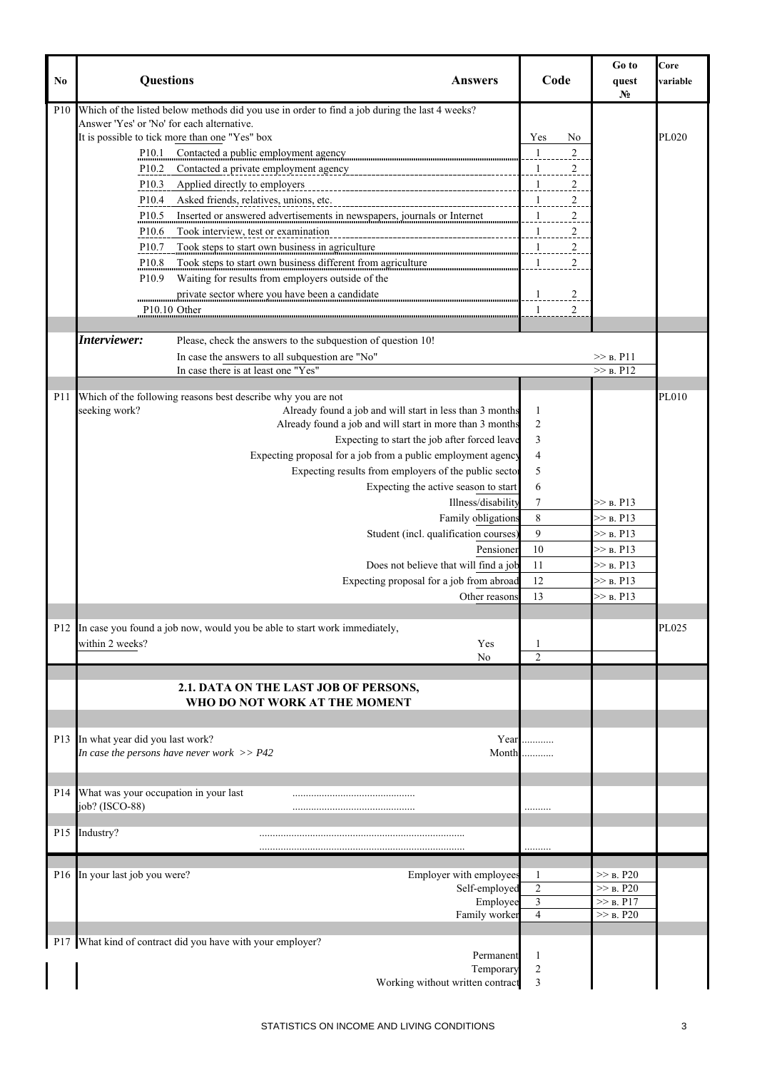| No              | <b>Questions</b>                                        |                                                                                               | <b>Answers</b>                                | Code                                      | Go to<br>quest<br>N <sub>0</sub> | Core<br>variable |
|-----------------|---------------------------------------------------------|-----------------------------------------------------------------------------------------------|-----------------------------------------------|-------------------------------------------|----------------------------------|------------------|
| P10             |                                                         | Which of the listed below methods did you use in order to find a job during the last 4 weeks? |                                               |                                           |                                  |                  |
|                 | Answer 'Yes' or 'No' for each alternative.              |                                                                                               |                                               |                                           |                                  |                  |
|                 |                                                         | It is possible to tick more than one "Yes" box                                                |                                               | Yes<br>No                                 |                                  | PL020            |
|                 | P10.1                                                   | Contacted a public employment agency                                                          |                                               | $\overline{1}$<br>$\overline{2}$          |                                  |                  |
|                 | P <sub>10.2</sub>                                       |                                                                                               |                                               | $\mathbf{1}$<br>2                         |                                  |                  |
|                 | P <sub>10.3</sub>                                       | Applied directly to employers<br>---------------------------------                            |                                               | $\mathbf{1}$<br>2                         |                                  |                  |
|                 | P <sub>10.4</sub>                                       | Asked friends, relatives, unions, etc.                                                        |                                               | $\mathbf{1}$<br>$\overline{2}$            |                                  |                  |
|                 | P <sub>10.5</sub>                                       | Inserted or answered advertisements in newspapers, journals or Internet                       |                                               | $\mathbf{1}$<br>$\overline{c}$            |                                  |                  |
|                 | P <sub>10.6</sub>                                       | Took interview, test or examination                                                           |                                               | $\overline{1}$<br>$\overline{2}$          |                                  |                  |
|                 | P <sub>10.7</sub>                                       | Took steps to start own business in agriculture                                               |                                               | $\overline{2}$                            |                                  |                  |
|                 | P10.8                                                   | Took steps to start own business different from agriculture                                   |                                               | $\mathbf{1}$<br>2                         |                                  |                  |
|                 | P <sub>10.9</sub>                                       | Waiting for results from employers outside of the                                             |                                               |                                           |                                  |                  |
|                 |                                                         | private sector where you have been a candidate                                                |                                               | $\overline{c}$<br>$\frac{1}{2}$           |                                  |                  |
|                 |                                                         | P <sub>10.10</sub> Other                                                                      |                                               | 1<br>$\overline{2}$                       |                                  |                  |
|                 |                                                         |                                                                                               |                                               |                                           |                                  |                  |
|                 | Interviewer:                                            | Please, check the answers to the subquestion of question 10!                                  |                                               |                                           |                                  |                  |
|                 |                                                         | In case the answers to all subquestion are "No"                                               |                                               |                                           | $\gg$ B. P11                     |                  |
|                 |                                                         | In case there is at least one "Yes"                                                           |                                               |                                           | >> B. P12                        |                  |
| <b>P11</b>      |                                                         | Which of the following reasons best describe why you are not                                  |                                               |                                           |                                  | PL010            |
|                 | seeking work?                                           | Already found a job and will start in less than 3 months                                      |                                               | 1                                         |                                  |                  |
|                 |                                                         | Already found a job and will start in more than 3 months                                      |                                               | $\overline{2}$                            |                                  |                  |
|                 |                                                         |                                                                                               | Expecting to start the job after forced leave | 3                                         |                                  |                  |
|                 |                                                         | Expecting proposal for a job from a public employment agency                                  |                                               | $\overline{4}$                            |                                  |                  |
|                 |                                                         | Expecting results from employers of the public sector                                         |                                               | 5                                         |                                  |                  |
|                 |                                                         |                                                                                               | Expecting the active season to start          | 6                                         |                                  |                  |
|                 |                                                         |                                                                                               | Illness/disability                            | 7                                         | $>>$ B. P13                      |                  |
|                 |                                                         |                                                                                               | Family obligations                            | 8                                         | $>>$ B. P13                      |                  |
|                 |                                                         |                                                                                               | Student (incl. qualification courses)         | 9                                         | $>>$ B. P13                      |                  |
|                 |                                                         |                                                                                               | Pensioner                                     | 10                                        | >> B. P13                        |                  |
|                 |                                                         |                                                                                               | Does not believe that will find a job         | 11                                        | $>>$ B. P13                      |                  |
|                 |                                                         |                                                                                               | Expecting proposal for a job from abroad      | 12                                        | >> B. P13                        |                  |
|                 |                                                         |                                                                                               | Other reasons                                 | 13                                        | >> B. P13                        |                  |
|                 |                                                         |                                                                                               |                                               |                                           |                                  |                  |
|                 |                                                         | P12 In case you found a job now, would you be able to start work immediately,                 |                                               |                                           |                                  | PL025            |
|                 | within 2 weeks?                                         |                                                                                               | Yes                                           | $\mathbf{1}$                              |                                  |                  |
|                 |                                                         |                                                                                               | No                                            | $\overline{2}$                            |                                  |                  |
|                 |                                                         | 2.1. DATA ON THE LAST JOB OF PERSONS,<br>WHO DO NOT WORK AT THE MOMENT                        |                                               |                                           |                                  |                  |
|                 |                                                         |                                                                                               |                                               |                                           |                                  |                  |
|                 | P13 In what year did you last work?                     | In case the persons have never work $>> P42$                                                  | Month                                         | Year $\dots$                              |                                  |                  |
|                 |                                                         |                                                                                               |                                               |                                           |                                  |                  |
|                 |                                                         |                                                                                               |                                               |                                           |                                  |                  |
| P <sub>14</sub> | What was your occupation in your last<br>job? (ISCO-88) |                                                                                               |                                               |                                           |                                  |                  |
|                 |                                                         |                                                                                               |                                               |                                           |                                  |                  |
| P <sub>15</sub> | Industry?                                               |                                                                                               |                                               |                                           |                                  |                  |
|                 |                                                         |                                                                                               |                                               | .                                         |                                  |                  |
|                 |                                                         |                                                                                               |                                               |                                           |                                  |                  |
| P <sub>16</sub> | In your last job you were?                              |                                                                                               | Employer with employees                       | 1                                         | >> B. P20                        |                  |
|                 |                                                         |                                                                                               | Self-employed<br>Employee                     | $\overline{c}$<br>$\overline{\mathbf{3}}$ | >> B. P20<br>>> B. P17           |                  |
|                 |                                                         |                                                                                               | Family worker                                 | $\overline{4}$                            | >> B. P20                        |                  |
|                 |                                                         |                                                                                               |                                               |                                           |                                  |                  |
|                 |                                                         | P17 What kind of contract did you have with your employer?                                    |                                               |                                           |                                  |                  |
|                 |                                                         |                                                                                               | Permanent                                     | 1                                         |                                  |                  |
|                 |                                                         |                                                                                               | Temporary                                     | 2                                         |                                  |                  |
|                 |                                                         |                                                                                               | Working without written contract              | 3                                         |                                  |                  |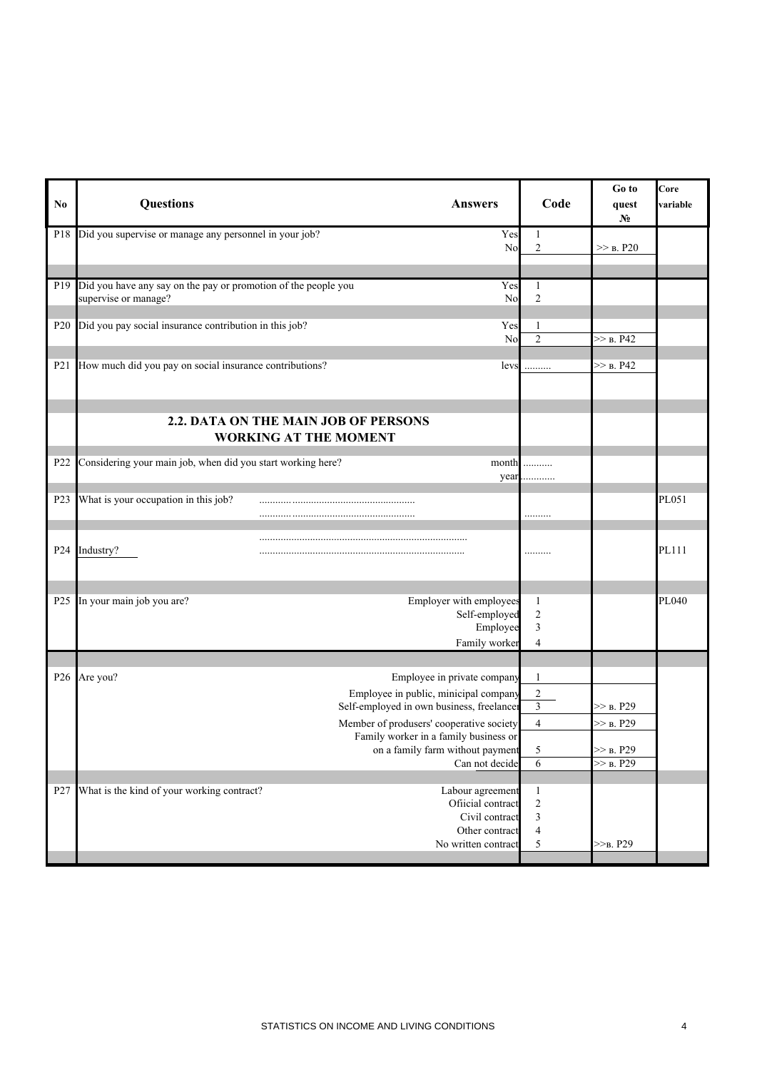| No               | <b>Questions</b><br><b>Answers</b>                                                                                                                                                                                                                         | Code                                                                | Go to<br>quest<br>No                  | Core<br>variable |
|------------------|------------------------------------------------------------------------------------------------------------------------------------------------------------------------------------------------------------------------------------------------------------|---------------------------------------------------------------------|---------------------------------------|------------------|
|                  | P18 Did you supervise or manage any personnel in your job?                                                                                                                                                                                                 | Yes<br>1<br>$\sqrt{2}$<br>N <sub>o</sub>                            | $>>$ B. P20                           |                  |
| P <sub>19</sub>  | Did you have any say on the pay or promotion of the people you<br>supervise or manage?                                                                                                                                                                     | Yes<br>$\mathbf{1}$<br>$\sqrt{2}$<br>No                             |                                       |                  |
| P <sub>20</sub>  | Did you pay social insurance contribution in this job?                                                                                                                                                                                                     | Yes<br>$\mathbf{1}$<br>$\overline{2}$<br>No                         | $>>$ B. P42                           |                  |
| P <sub>21</sub>  | How much did you pay on social insurance contributions?                                                                                                                                                                                                    | levs<br>.                                                           | $>>$ B. P42                           |                  |
|                  | 2.2. DATA ON THE MAIN JOB OF PERSONS<br><b>WORKING AT THE MOMENT</b>                                                                                                                                                                                       |                                                                     |                                       |                  |
| P <sub>22</sub>  | Considering your main job, when did you start working here?                                                                                                                                                                                                | month<br>.<br>year<br>.                                             |                                       |                  |
| P <sub>2</sub> 3 | What is your occupation in this job?                                                                                                                                                                                                                       | .                                                                   |                                       | PL051            |
| P <sub>24</sub>  | Industry?                                                                                                                                                                                                                                                  | .                                                                   |                                       | PL111            |
|                  | Employer with employees<br>P25 In your main job you are?<br>Self-employed<br>Employee<br>Family worker                                                                                                                                                     | $\mathbf{1}$<br>$\sqrt{2}$<br>$\mathfrak{Z}$<br>$\overline{4}$      |                                       | PL040            |
|                  |                                                                                                                                                                                                                                                            |                                                                     |                                       |                  |
|                  | P26 Are you?<br>Employee in private company<br>Employee in public, minicipal company<br>Self-employed in own business, freelancer<br>Member of produsers' cooperative society<br>Family worker in a family business or<br>on a family farm without payment | $\mathbf{1}$<br>$\sqrt{2}$<br>$\mathfrak{Z}$<br>$\overline{4}$<br>5 | $>>$ B. P29<br>>> B. P29<br>>> B. P29 |                  |
|                  | Can not decide                                                                                                                                                                                                                                             | 6                                                                   | >> B. P29                             |                  |
| P <sub>27</sub>  | What is the kind of your working contract?<br>Labour agreement<br>Ofiicial contract<br>Civil contract<br>Other contract<br>No written contract                                                                                                             | $\,1\,$<br>$\sqrt{2}$<br>3<br>$\overline{\mathcal{L}}$<br>5         | $>>_{B.} P29$                         |                  |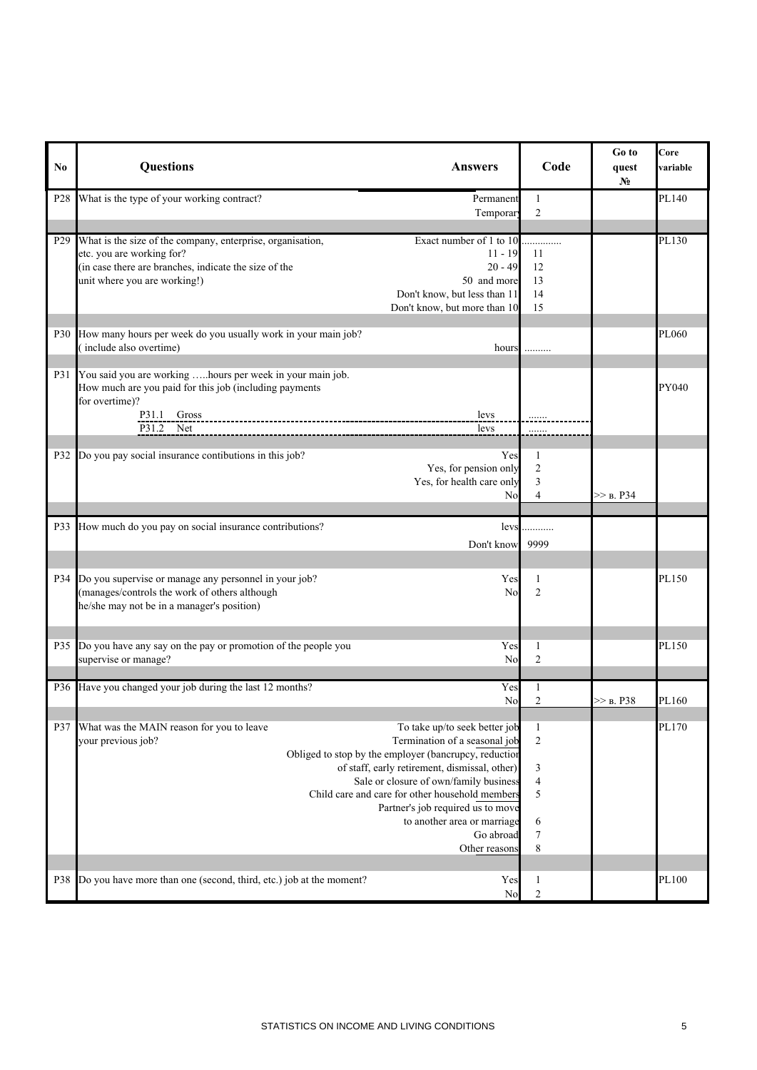| No.             | <b>Questions</b><br><b>Answers</b>                                                                                                                                                                                                                                                                                                                                                                                                         | Code                                                                                | Go to<br>quest<br>No | Core<br>variable |
|-----------------|--------------------------------------------------------------------------------------------------------------------------------------------------------------------------------------------------------------------------------------------------------------------------------------------------------------------------------------------------------------------------------------------------------------------------------------------|-------------------------------------------------------------------------------------|----------------------|------------------|
| P <sub>28</sub> | What is the type of your working contract?<br>Permanent<br>Temporary                                                                                                                                                                                                                                                                                                                                                                       | 1<br>$\overline{c}$                                                                 |                      | PL140            |
|                 |                                                                                                                                                                                                                                                                                                                                                                                                                                            |                                                                                     |                      |                  |
| P <sub>29</sub> | What is the size of the company, enterprise, organisation,<br>Exact number of 1 to 10<br>etc. you are working for?<br>$11 - 19$<br>(in case there are branches, indicate the size of the<br>$20 - 49$<br>unit where you are working!)<br>50 and more<br>Don't know, but less than 11<br>Don't know, but more than 10                                                                                                                       | 11<br>12<br>13<br>14<br>15                                                          |                      | PL130            |
| P <sub>30</sub> | How many hours per week do you usually work in your main job?<br>(include also overtime)<br>hours                                                                                                                                                                                                                                                                                                                                          |                                                                                     |                      | PL060            |
| P31             | You said you are working hours per week in your main job.<br>How much are you paid for this job (including payments<br>for overtime)?<br>P31.1 Gross<br>levs<br>$P31.2$ Net<br>levs                                                                                                                                                                                                                                                        | .                                                                                   |                      | PY040            |
| P32             | Do you pay social insurance contibutions in this job?<br>Yes<br>Yes, for pension only<br>Yes, for health care only<br>No                                                                                                                                                                                                                                                                                                                   | 1<br>$\overline{c}$<br>3<br>$\overline{4}$                                          | $>>$ B. P34          |                  |
| P33             | How much do you pay on social insurance contributions?<br>levs<br>Don't know                                                                                                                                                                                                                                                                                                                                                               | 9999                                                                                |                      |                  |
|                 | P34 Do you supervise or manage any personnel in your job?<br>Yes<br>(manages/controls the work of others although<br>N <sub>o</sub><br>he/she may not be in a manager's position)                                                                                                                                                                                                                                                          | $\mathbf{1}$<br>$\overline{c}$                                                      |                      | PL150            |
| P35             | Do you have any say on the pay or promotion of the people you<br>Yes<br>supervise or manage?<br>No                                                                                                                                                                                                                                                                                                                                         | 1<br>$\overline{c}$                                                                 |                      | PL150            |
|                 | P36 Have you changed your job during the last 12 months?<br>Yes<br>No                                                                                                                                                                                                                                                                                                                                                                      | $\overline{c}$                                                                      | $>>$ b. P38          | PL160            |
| P37             | What was the MAIN reason for you to leave<br>To take up/to seek better job<br>Termination of a seasonal job<br>your previous job?<br>Obliged to stop by the employer (bancrupcy, reduction<br>of staff, early retirement, dismissal, other)<br>Sale or closure of own/family business<br>Child care and care for other household members<br>Partner's job required us to move<br>to another area or marriage<br>Go abroad<br>Other reasons | $\mathbf{1}$<br>$\overline{c}$<br>3<br>$\overline{\mathcal{A}}$<br>5<br>6<br>7<br>8 |                      | PL170            |
| P38             | Do you have more than one (second, third, etc.) job at the moment?<br>Yes<br>No                                                                                                                                                                                                                                                                                                                                                            | $\mathbf{1}$<br>$\overline{2}$                                                      |                      | PL100            |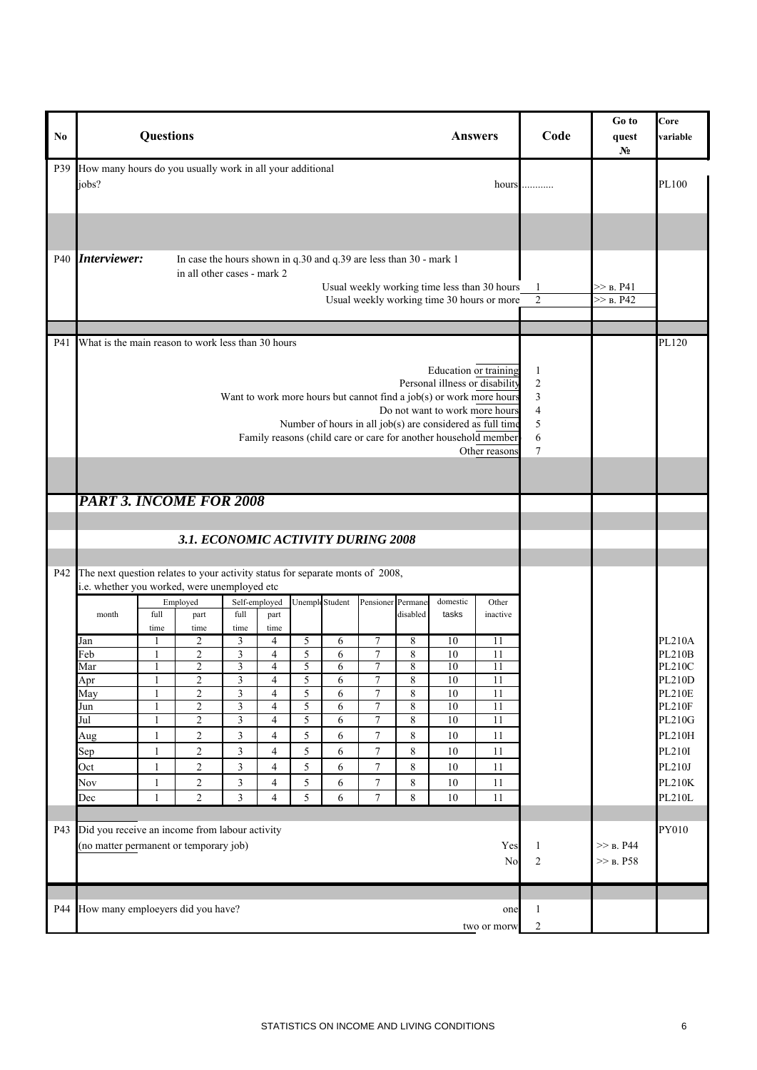| N <sub>0</sub> |                                                                                                                                                                                                                                                                                                                                                                          | <b>Questions</b>             |                                                                                                   |                                           |                                  |        |                        |                                    |                   |          | <b>Answers</b>                                                                             | Code                             | Go to<br>quest<br>N <sub>2</sub> | Core<br>variable               |
|----------------|--------------------------------------------------------------------------------------------------------------------------------------------------------------------------------------------------------------------------------------------------------------------------------------------------------------------------------------------------------------------------|------------------------------|---------------------------------------------------------------------------------------------------|-------------------------------------------|----------------------------------|--------|------------------------|------------------------------------|-------------------|----------|--------------------------------------------------------------------------------------------|----------------------------------|----------------------------------|--------------------------------|
| P39            | How many hours do you usually work in all your additional<br>jobs?<br>hours                                                                                                                                                                                                                                                                                              |                              |                                                                                                   |                                           |                                  |        |                        |                                    |                   |          | .                                                                                          |                                  | PL100                            |                                |
|                |                                                                                                                                                                                                                                                                                                                                                                          |                              |                                                                                                   |                                           |                                  |        |                        |                                    |                   |          |                                                                                            |                                  |                                  |                                |
| P40            | Interviewer:                                                                                                                                                                                                                                                                                                                                                             |                              | In case the hours shown in q.30 and q.39 are less than 30 - mark 1<br>in all other cases - mark 2 |                                           |                                  |        |                        |                                    |                   |          | Usual weekly working time less than 30 hours<br>Usual weekly working time 30 hours or more | 1<br>$\overline{2}$              | >> B. P41<br>>> B. P42           |                                |
| P41            |                                                                                                                                                                                                                                                                                                                                                                          |                              |                                                                                                   |                                           |                                  |        |                        |                                    |                   |          |                                                                                            |                                  |                                  | PL120                          |
|                | What is the main reason to work less than 30 hours<br>Education or training<br>Personal illness or disability<br>Want to work more hours but cannot find a job(s) or work more hours<br>Do not want to work more hours<br>Number of hours in all job(s) are considered as full time<br>Family reasons (child care or care for another household member)<br>Other reasons |                              |                                                                                                   |                                           |                                  |        |                        |                                    |                   |          | $\mathbf{1}$<br>$\sqrt{2}$<br>$\mathfrak{Z}$<br>$\overline{4}$<br>5<br>6<br>$\tau$         |                                  |                                  |                                |
|                | <b>PART 3. INCOME FOR 2008</b>                                                                                                                                                                                                                                                                                                                                           |                              |                                                                                                   |                                           |                                  |        |                        |                                    |                   |          |                                                                                            |                                  |                                  |                                |
|                |                                                                                                                                                                                                                                                                                                                                                                          |                              |                                                                                                   |                                           |                                  |        |                        |                                    |                   |          |                                                                                            |                                  |                                  |                                |
|                |                                                                                                                                                                                                                                                                                                                                                                          |                              | 3.1. ECONOMIC ACTIVITY DURING 2008                                                                |                                           |                                  |        |                        |                                    |                   |          |                                                                                            |                                  |                                  |                                |
|                |                                                                                                                                                                                                                                                                                                                                                                          |                              |                                                                                                   |                                           |                                  |        |                        |                                    |                   |          |                                                                                            |                                  |                                  |                                |
| P42            | The next question relates to your activity status for separate monts of 2008,<br>i.e. whether you worked, were unemployed etc                                                                                                                                                                                                                                            |                              |                                                                                                   |                                           |                                  |        |                        |                                    |                   |          |                                                                                            |                                  |                                  |                                |
|                |                                                                                                                                                                                                                                                                                                                                                                          |                              | Employed                                                                                          |                                           | Self-employed                    |        | <b>Unemple</b> Student |                                    | Pensioner Permane | domestic | Other                                                                                      |                                  |                                  |                                |
|                | month                                                                                                                                                                                                                                                                                                                                                                    | full<br>time                 | part<br>time                                                                                      | full<br>time                              | part<br>time                     |        |                        |                                    | disabled          | tasks    | inactive                                                                                   |                                  |                                  |                                |
|                | Jan                                                                                                                                                                                                                                                                                                                                                                      | -1                           | 2                                                                                                 | 3                                         | 4                                | 5      | 6                      | 7                                  | 8                 | 10       | 11                                                                                         |                                  |                                  | <b>PL210A</b>                  |
|                | Feb<br>Mar                                                                                                                                                                                                                                                                                                                                                               | 1                            | $\overline{c}$<br>$\overline{2}$                                                                  | 3<br>$\overline{3}$                       | $\overline{4}$<br>$\overline{4}$ | 5<br>5 | 6<br>6                 | 7<br>7                             | 8<br>8            | 10<br>10 | 11<br>$\overline{11}$                                                                      |                                  |                                  | <b>PL210B</b><br><b>PL210C</b> |
|                | Apr                                                                                                                                                                                                                                                                                                                                                                      | 1                            | 2                                                                                                 | 3                                         | 4                                | 5      | 6                      | 7                                  | 8                 | 10       | 11                                                                                         |                                  |                                  | <b>PL210D</b>                  |
|                | May                                                                                                                                                                                                                                                                                                                                                                      | $\mathbf{1}$                 | $\overline{2}$                                                                                    | $\overline{\mathbf{3}}$                   | $\overline{4}$                   | 5      | 6                      | $\overline{7}$                     | $8\,$             | 10       | 11                                                                                         |                                  |                                  | <b>PL210E</b>                  |
|                | Jun<br>Jul                                                                                                                                                                                                                                                                                                                                                               | $\mathbf{1}$<br>$\mathbf{1}$ | $\overline{c}$<br>$\overline{c}$                                                                  | $\overline{\mathbf{3}}$<br>$\mathfrak{Z}$ | 4<br>$\overline{4}$              | 5<br>5 | 6<br>6                 | $\overline{7}$<br>$\boldsymbol{7}$ | 8<br>8            | 10<br>10 | $\overline{11}$<br>11                                                                      |                                  |                                  | <b>PL210F</b><br><b>PL210G</b> |
|                | Aug                                                                                                                                                                                                                                                                                                                                                                      | $\mathbf{1}$                 | $\overline{c}$                                                                                    | $\mathfrak{Z}$                            | $\overline{4}$                   | 5      | 6                      | $\overline{7}$                     | 8                 | 10       | 11                                                                                         |                                  |                                  | PL210H                         |
|                | Sep                                                                                                                                                                                                                                                                                                                                                                      | $\mathbf{1}$                 | $\overline{c}$                                                                                    | $\overline{\mathbf{3}}$                   | $\overline{4}$                   | 5      | 6                      | $\overline{7}$                     | $8\,$             | 10       | 11                                                                                         |                                  |                                  | PL210I                         |
|                | Oct                                                                                                                                                                                                                                                                                                                                                                      | $\mathbf{1}$                 | $\overline{c}$                                                                                    | $\mathfrak{Z}$                            | $\overline{4}$                   | 5      | 6                      | $\overline{7}$                     | 8                 | 10       | 11                                                                                         |                                  |                                  | PL210J                         |
|                | Nov                                                                                                                                                                                                                                                                                                                                                                      | $\mathbf{1}$                 | $\overline{c}$                                                                                    | $\overline{3}$                            | $\overline{4}$                   | 5      | 6                      | 7                                  | 8                 | 10       | 11                                                                                         |                                  |                                  | <b>PL210K</b>                  |
|                | Dec                                                                                                                                                                                                                                                                                                                                                                      | $\mathbf{1}$                 | $\overline{c}$                                                                                    | $\mathfrak{Z}$                            | $\overline{4}$                   | 5      | 6                      | $\overline{7}$                     | 8                 | 10       | $11\,$                                                                                     |                                  |                                  | <b>PL210L</b>                  |
| P43            | Did you receive an income from labour activity<br>(no matter permanent or temporary job)                                                                                                                                                                                                                                                                                 |                              |                                                                                                   |                                           |                                  |        |                        |                                    |                   |          | Yes<br>No                                                                                  | $\mathbf{1}$<br>$\boldsymbol{2}$ | >> B. P44<br>$>>$ B. P58         | PY010                          |
|                |                                                                                                                                                                                                                                                                                                                                                                          |                              |                                                                                                   |                                           |                                  |        |                        |                                    |                   |          |                                                                                            |                                  |                                  |                                |
| P44            | How many emploeyers did you have?                                                                                                                                                                                                                                                                                                                                        |                              |                                                                                                   |                                           |                                  |        |                        |                                    |                   |          | one                                                                                        | 1                                |                                  |                                |
|                |                                                                                                                                                                                                                                                                                                                                                                          |                              |                                                                                                   |                                           |                                  |        |                        |                                    |                   |          | two or morw                                                                                | $\overline{c}$                   |                                  |                                |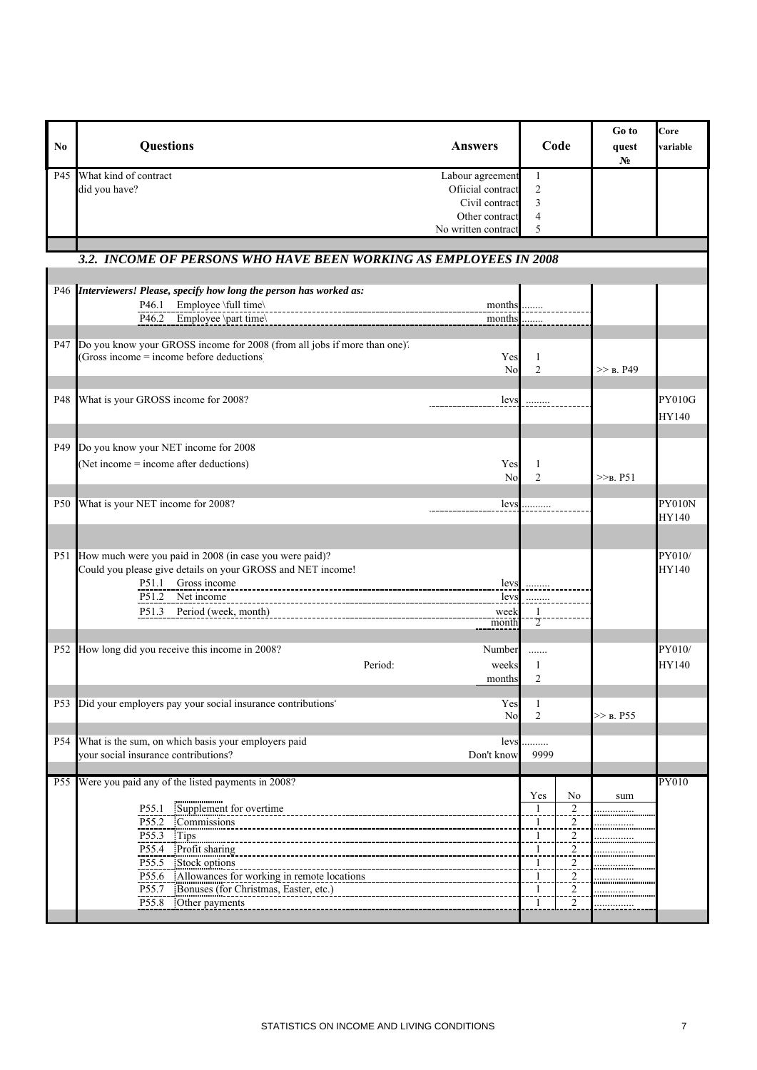| N <sub>0</sub>  | <b>Questions</b>                                                                                                                                                                                                                                                                                      | <b>Answers</b>                                                                                   |                                                                      | Code                                                                                                        | Go to<br>quest<br>N <sub>0</sub> | Core<br>variable       |
|-----------------|-------------------------------------------------------------------------------------------------------------------------------------------------------------------------------------------------------------------------------------------------------------------------------------------------------|--------------------------------------------------------------------------------------------------|----------------------------------------------------------------------|-------------------------------------------------------------------------------------------------------------|----------------------------------|------------------------|
| P45             | What kind of contract<br>did you have?                                                                                                                                                                                                                                                                | Labour agreement<br>Ofiicial contract<br>Civil contract<br>Other contract<br>No written contract | 1<br>$\sqrt{2}$<br>3<br>$\overline{4}$<br>5                          |                                                                                                             |                                  |                        |
|                 | 3.2. INCOME OF PERSONS WHO HAVE BEEN WORKING AS EMPLOYEES IN 2008                                                                                                                                                                                                                                     |                                                                                                  |                                                                      |                                                                                                             |                                  |                        |
|                 |                                                                                                                                                                                                                                                                                                       |                                                                                                  |                                                                      |                                                                                                             |                                  |                        |
|                 | P46 Interviewers! Please, specify how long the person has worked as:<br>Employee \full time\<br>P <sub>46.1</sub><br>$P46.2$ Employee \part time\                                                                                                                                                     | months<br>months                                                                                 |                                                                      |                                                                                                             |                                  |                        |
| P47             | Do you know your GROSS income for 2008 (from all jobs if more than one).<br>(Gross income = income before deductions)                                                                                                                                                                                 | Yes<br>N <sub>o</sub>                                                                            | 1<br>$\overline{2}$                                                  |                                                                                                             | $>>$ B. P49                      |                        |
| P48             | What is your GROSS income for 2008?                                                                                                                                                                                                                                                                   | levs                                                                                             | .                                                                    |                                                                                                             |                                  | <b>PY010G</b><br>HY140 |
| P <sub>49</sub> | Do you know your NET income for 2008<br>(Net income = income after deductions)                                                                                                                                                                                                                        | Yes<br>No                                                                                        | 1<br>$\overline{2}$                                                  |                                                                                                             | $>>B$ . P51                      |                        |
| P <sub>50</sub> | What is your NET income for 2008?                                                                                                                                                                                                                                                                     | levs                                                                                             | .                                                                    |                                                                                                             |                                  | PY010N<br>HY140        |
| P <sub>51</sub> | How much were you paid in 2008 (in case you were paid)?<br>Could you please give details on your GROSS and NET income!<br>P51.1 Gross income<br>P51.2<br>Net income<br>P51.3 Period (week, month)                                                                                                     | levs<br>levs<br>week<br>month                                                                    | .<br>$\mathbf{1}$<br>$\overline{2}$                                  |                                                                                                             |                                  | PY010/<br>HY140        |
| P <sub>52</sub> | How long did you receive this income in 2008?<br>Period:                                                                                                                                                                                                                                              | Number<br>weeks<br>months                                                                        | .<br>1<br>$\overline{2}$                                             |                                                                                                             |                                  | PY010/<br>HY140        |
| P <sub>53</sub> | Did your employers pay your social insurance contributions'                                                                                                                                                                                                                                           | Yes<br>No                                                                                        | $\overline{c}$                                                       |                                                                                                             | $>>$ B. P55                      |                        |
| P <sub>54</sub> | What is the sum, on which basis your employers paid<br>your social insurance contributions?                                                                                                                                                                                                           | levs<br>Don't know                                                                               | 9999                                                                 |                                                                                                             |                                  |                        |
| P <sub>55</sub> | Were you paid any of the listed payments in 2008?<br>Supplement for overtime<br>P55.1<br>P55.2 Commissions<br>P55.3 Tips<br>P55.4 Profit sharing<br>Stock options<br>P55.5<br>P55.6 Allowances for working in remote locations<br>P55.7 Bonuses (for Christmas, Easter, etc.)<br>P55.8 Other payments |                                                                                                  | Yes<br>$\overline{1}$<br>-1<br>1<br>1<br>1<br>1<br>1<br>$\mathbf{1}$ | N <sub>0</sub><br>$\overline{2}$<br>$\overline{2}$<br>$\frac{2}{1}$<br>$\frac{2}{2}$<br>2<br>$\overline{c}$ | sum<br>                          | <b>PY010</b>           |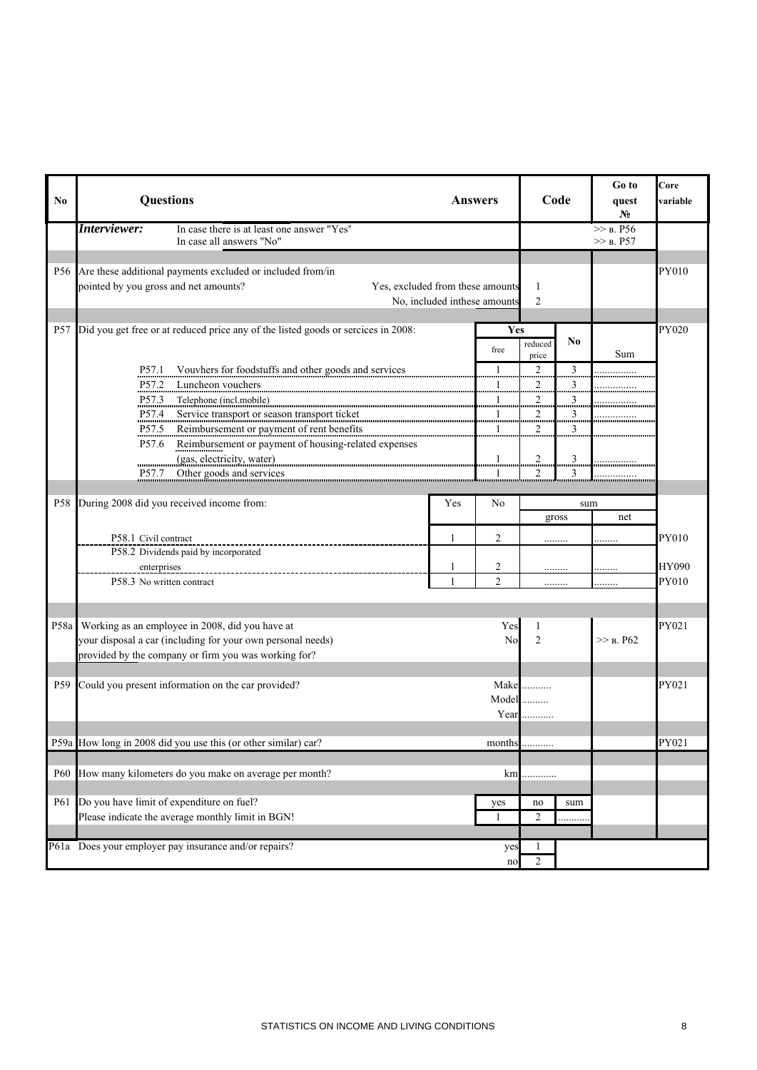| No.             | Questions                                                                                               |                                                                                                                                                                                                                                                                                                                                                                        |                              | <b>Answers</b>      | Code                                  |                                               | Go to<br>quest<br>$N_2$   | Core<br>variable      |
|-----------------|---------------------------------------------------------------------------------------------------------|------------------------------------------------------------------------------------------------------------------------------------------------------------------------------------------------------------------------------------------------------------------------------------------------------------------------------------------------------------------------|------------------------------|---------------------|---------------------------------------|-----------------------------------------------|---------------------------|-----------------------|
|                 | Interviewer:                                                                                            | In case there is at least one answer "Yes"<br>In case all answers "No"                                                                                                                                                                                                                                                                                                 |                              |                     |                                       |                                               | $\gg$ B. P56<br>>> B. P57 |                       |
| P56             | pointed by you gross and net amounts?                                                                   | Are these additional payments excluded or included from/in<br>Yes, excluded from these amounts                                                                                                                                                                                                                                                                         | No, included inthese amounts |                     | 1<br>$\overline{2}$                   |                                               |                           | PY010                 |
| P <sub>57</sub> |                                                                                                         | Did you get free or at reduced price any of the listed goods or sercices in 2008:                                                                                                                                                                                                                                                                                      |                              | Yes<br>free         | reduced<br>price                      | N <sub>0</sub>                                | Sum                       | PY020                 |
|                 | P <sub>57.1</sub><br>P <sub>57.2</sub><br>P57.3                                                         | Vouvhers for foodstuffs and other goods and services<br>Luncheon vouchers<br>Telephone (incl.mobile)                                                                                                                                                                                                                                                                   |                              | 1<br>               | 2<br><br>$\overline{a}$<br>           | $\overline{3}$<br>$\overline{\mathbf{3}}$<br> |                           |                       |
|                 | P57.4<br>P57.5<br>P <sub>57.6</sub>                                                                     | Service transport or season transport ticket<br>interventional contracts and contract the contract of the contract of the contract of the contract of the contract of the contract of the contract of the contract of the contra<br>Reimbursement or payment of rent benefits and a statement of rent benefits<br>Reimbursement or payment of housing-related expenses |                              |                     | <br>                                  | 3<br><br>3<br>                                |                           |                       |
|                 | P57.7                                                                                                   | (gas, electricity, water)<br>Other goods and services                                                                                                                                                                                                                                                                                                                  |                              |                     | $\overline{2}$<br><br>$\overline{c}$  | 3<br><br>3                                    |                           |                       |
| P58             | During 2008 did you received income from:                                                               |                                                                                                                                                                                                                                                                                                                                                                        | Yes                          | N <sub>0</sub>      |                                       | sum<br>gross                                  | net                       |                       |
|                 | P58.1 Civil contract<br>P58.2 Dividends paid by incorporated                                            |                                                                                                                                                                                                                                                                                                                                                                        | 1                            | 2                   | .                                     |                                               | .                         | PY010                 |
|                 | enterprises<br>P58.3 No written contract                                                                | ---------------------------                                                                                                                                                                                                                                                                                                                                            | -1                           | 2<br>$\mathfrak{D}$ |                                       | .<br>.                                        | <br>.                     | <b>HY090</b><br>PY010 |
| P58a            | Working as an employee in 2008, did you have at<br>provided by the company or firm you was working for? | your disposal a car (including for your own personal needs)                                                                                                                                                                                                                                                                                                            |                              | Yes<br>No           | 1<br>$\overline{2}$                   |                                               | $>>$ B. P62               | PY021                 |
| P <sub>59</sub> | Could you present information on the car provided?                                                      |                                                                                                                                                                                                                                                                                                                                                                        |                              | $Model$             | Make<br>Year $\ldots$                 |                                               |                           | PY021                 |
|                 | P59a How long in 2008 did you use this (or other similar) car?                                          |                                                                                                                                                                                                                                                                                                                                                                        |                              |                     | $\mathit{months}\dots\dots\dots\dots$ |                                               |                           | PY021                 |
| <b>P60</b>      |                                                                                                         | How many kilometers do you make on average per month?                                                                                                                                                                                                                                                                                                                  |                              | km                  | .                                     |                                               |                           |                       |
| P61             | Do you have limit of expenditure on fuel?<br>Please indicate the average monthly limit in BGN!          |                                                                                                                                                                                                                                                                                                                                                                        |                              | yes<br>-1           | no<br>$\overline{c}$                  | sum                                           |                           |                       |
|                 | P61a Does your employer pay insurance and/or repairs?                                                   |                                                                                                                                                                                                                                                                                                                                                                        |                              | yes<br>no           | -1<br>2                               |                                               |                           |                       |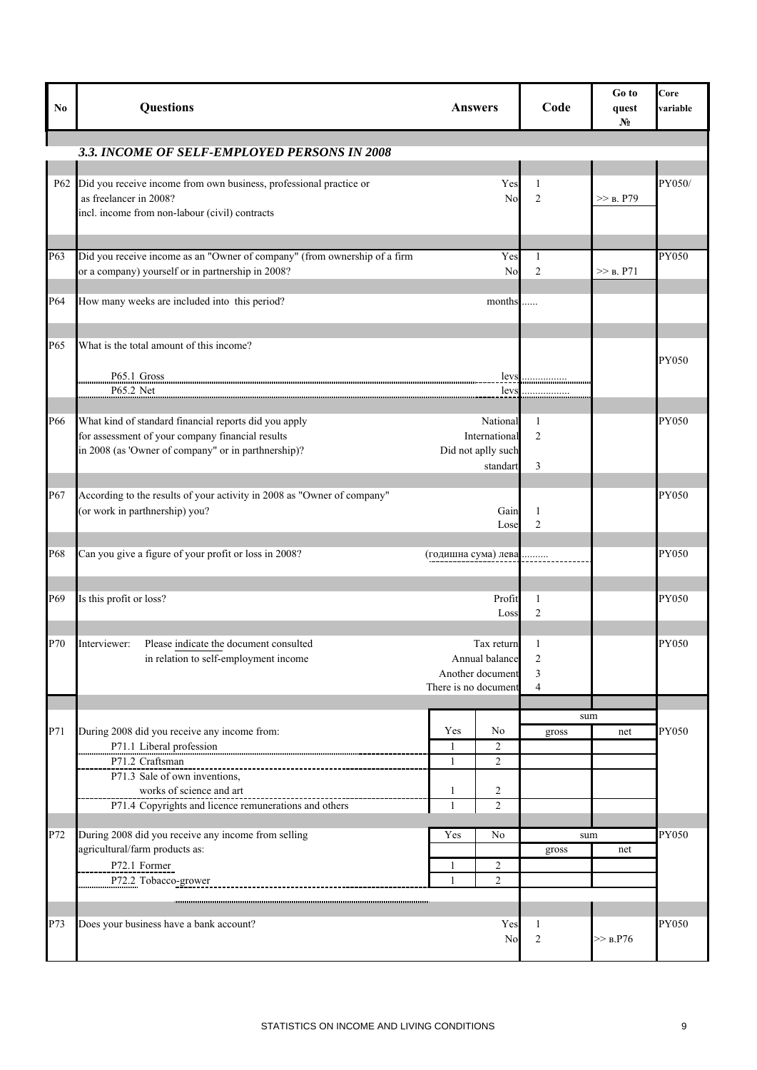| N <sub>0</sub> | <b>Questions</b>                                                                                                                                                 | <b>Answers</b>       |                                                             | Code                     | Go to<br>quest<br>N <sub>0</sub> | Core<br>variable |
|----------------|------------------------------------------------------------------------------------------------------------------------------------------------------------------|----------------------|-------------------------------------------------------------|--------------------------|----------------------------------|------------------|
|                | 3.3. INCOME OF SELF-EMPLOYED PERSONS IN 2008                                                                                                                     |                      |                                                             |                          |                                  |                  |
| P62            | Did you receive income from own business, professional practice or<br>as freelancer in 2008?<br>incl. income from non-labour (civil) contracts                   |                      | Yes<br>No                                                   | 1<br>$\overline{c}$      | $>>$ B. P79                      | PY050/           |
| P63            | Did you receive income as an "Owner of company" (from ownership of a firm<br>or a company) yourself or in partnership in 2008?                                   |                      | Yes<br>No                                                   | 1<br>2                   | $>>$ B. P71                      | PY050            |
| P64            | How many weeks are included into this period?                                                                                                                    |                      | months                                                      |                          |                                  |                  |
| P65            | What is the total amount of this income?<br>P65.1 Gross<br>P65.2 Net                                                                                             |                      | levs<br>levs                                                |                          |                                  | PY050            |
| P66            | What kind of standard financial reports did you apply<br>for assessment of your company financial results<br>in 2008 (as 'Owner of company" or in parthnership)? |                      | National<br>International<br>Did not aplly such<br>standart | 1<br>$\overline{2}$<br>3 |                                  | PY050            |
| P67            | According to the results of your activity in 2008 as "Owner of company"<br>(or work in parthnership) you?                                                        |                      | Gain<br>Lose                                                | 1<br>$\overline{2}$      |                                  | PY050            |
| P68            | Can you give a figure of your profit or loss in 2008?                                                                                                            | (годишна сума) лева  |                                                             |                          |                                  | PY050            |
| P69            | Is this profit or loss?                                                                                                                                          |                      | Profit<br>Loss                                              | 1<br>$\overline{2}$      |                                  | PY050            |
| P70            | Interviewer:<br>Please indicate the document consulted<br>in relation to self-employment income                                                                  | There is no document | Tax return<br>Annual balance<br>Another document            | $\overline{2}$<br>3<br>4 |                                  | PY050            |
|                |                                                                                                                                                                  |                      |                                                             | sum                      |                                  |                  |
| P71            | During 2008 did you receive any income from:<br>P71.1 Liberal profession                                                                                         | Yes<br>1             | No<br>$\overline{c}$                                        | gross                    | net                              | PY050            |
|                | P71.2 Craftsman<br>P71.3 Sale of own inventions,<br>works of science and art                                                                                     | $\mathbf{1}$<br>1    | $\overline{2}$<br>2                                         |                          |                                  |                  |
|                | P71.4 Copyrights and licence remunerations and others                                                                                                            | $\mathbf{1}$         | $\overline{c}$                                              |                          |                                  |                  |
| P72            | During 2008 did you receive any income from selling<br>agricultural/farm products as:                                                                            | Yes                  | No                                                          | sum<br>gross             | net                              | PY050            |
|                | P72.1 Former<br>P72.2 Tobacco-grower                                                                                                                             | 1<br>1               | 2<br>$\boldsymbol{2}$                                       |                          |                                  |                  |
| P73            | Does your business have a bank account?                                                                                                                          |                      | Yes<br>N <sub>o</sub>                                       | 1<br>$\overline{c}$      | >> B.P76                         | PY050            |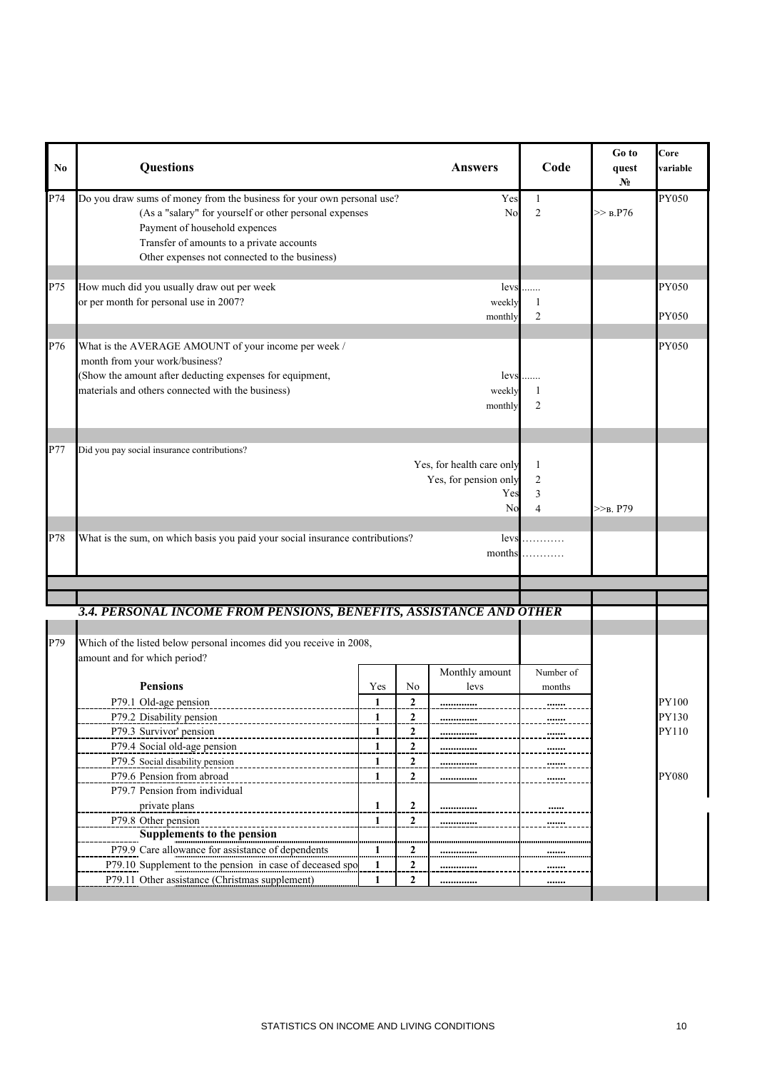| N <sub>0</sub> | Questions                                                                                                                                                                                                                                                                                                                                                                                                               |                                                                  |                                                                                |                                                               |                                                            |             |                                         |
|----------------|-------------------------------------------------------------------------------------------------------------------------------------------------------------------------------------------------------------------------------------------------------------------------------------------------------------------------------------------------------------------------------------------------------------------------|------------------------------------------------------------------|--------------------------------------------------------------------------------|---------------------------------------------------------------|------------------------------------------------------------|-------------|-----------------------------------------|
| P74            | Do you draw sums of money from the business for your own personal use?<br>(As a "salary" for yourself or other personal expenses<br>Payment of household expences<br>Transfer of amounts to a private accounts<br>Other expenses not connected to the business)                                                                                                                                                         |                                                                  |                                                                                | Yes<br>N <sub>o</sub>                                         | $\mathbf{1}$<br>$\overline{c}$                             | $\gg$ b.P76 | PY050                                   |
| P75            | How much did you usually draw out per week<br>or per month for personal use in 2007?                                                                                                                                                                                                                                                                                                                                    |                                                                  |                                                                                | levs<br>weekly<br>monthly                                     | 1<br>2                                                     |             | PY050<br>PY050                          |
| P76            | What is the AVERAGE AMOUNT of your income per week /<br>month from your work/business?<br>(Show the amount after deducting expenses for equipment,<br>materials and others connected with the business)                                                                                                                                                                                                                 |                                                                  |                                                                                | levs<br>weekly<br>monthly                                     | 1<br>$\overline{c}$                                        |             | PY050                                   |
| P77            | Did you pay social insurance contributions?                                                                                                                                                                                                                                                                                                                                                                             | 1<br>2<br>3<br>$\overline{4}$                                    | $>>B$ , P79                                                                    |                                                               |                                                            |             |                                         |
| P78            | What is the sum, on which basis you paid your social insurance contributions?                                                                                                                                                                                                                                                                                                                                           |                                                                  |                                                                                | levs<br>months                                                |                                                            |             |                                         |
|                | 3.4. PERSONAL INCOME FROM PENSIONS, BENEFITS, ASSISTANCE AND OTHER                                                                                                                                                                                                                                                                                                                                                      |                                                                  |                                                                                |                                                               |                                                            |             |                                         |
| P79            | Which of the listed below personal incomes did you receive in 2008,<br>amount and for which period?                                                                                                                                                                                                                                                                                                                     |                                                                  |                                                                                |                                                               |                                                            |             |                                         |
|                | <b>Pensions</b><br>P79.1 Old-age pension<br>P79.2 Disability pension<br>P79.3 Survivor' pension<br>P79.4 Social old-age pension<br>P79.5 Social disability pension<br>P79.6 Pension from abroad<br>P79.7 Pension from individual<br>private plans<br>P79.8 Other pension<br>Supplements to the pension<br>P79.9 Care allowance for assistance of dependents<br>P79.10 Supplement to the pension in case of deceased spo | Yes<br>1<br>1<br>1<br>1<br>1<br>1<br>1<br>$\mathbf{1}$<br>1<br>1 | No<br>2<br>2<br>2<br>2<br>2<br>$\overline{2}$<br>2<br>$\overline{2}$<br>2<br>2 | Monthly amount<br>levs<br><br><br><br><br><br><br><u></u><br> | Number of<br>months<br><br><br><br><br><br><br><u></u><br> |             | PY100<br>PY130<br>PY110<br><b>PY080</b> |
|                | P79.11 Other assistance (Christmas supplement)                                                                                                                                                                                                                                                                                                                                                                          | 1                                                                | 2                                                                              |                                                               |                                                            |             |                                         |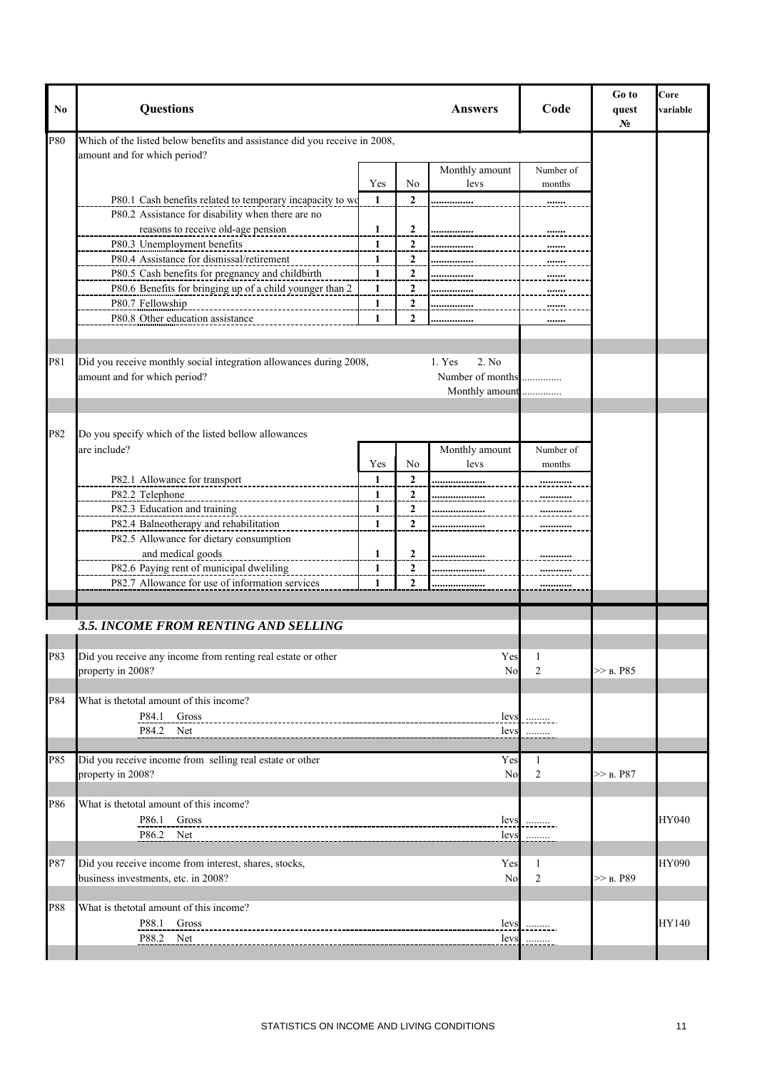| No  | Questions                                                                                                  |              |                | <b>Answers</b>                     | Code           | Go to<br>quest<br>No | Core<br>variable |
|-----|------------------------------------------------------------------------------------------------------------|--------------|----------------|------------------------------------|----------------|----------------------|------------------|
| P80 | Which of the listed below benefits and assistance did you receive in 2008,<br>amount and for which period? |              |                |                                    |                |                      |                  |
|     |                                                                                                            |              |                | Monthly amount                     | Number of      |                      |                  |
|     |                                                                                                            | Yes          | No             | levs                               | months         |                      |                  |
|     | P80.1 Cash benefits related to temporary incapacity to wo                                                  | -1           | $\mathbf{2}$   |                                    |                |                      |                  |
|     | P80.2 Assistance for disability when there are no                                                          |              |                |                                    |                |                      |                  |
|     | reasons to receive old-age pension                                                                         | $\mathbf{1}$ | 2              |                                    |                |                      |                  |
|     | P80.3 Unemployment benefits                                                                                | 1            | $\overline{2}$ |                                    |                |                      |                  |
|     | P80.4 Assistance for dismissal/retirement                                                                  | 1            | $\overline{2}$ |                                    |                |                      |                  |
|     | P80.5 Cash benefits for pregnancy and childbirth                                                           | $\mathbf{1}$ | $\overline{2}$ |                                    |                |                      |                  |
|     | P80.6 Benefits for bringing up of a child younger than 2                                                   | 1            | $\overline{2}$ |                                    |                |                      |                  |
|     | P80.7 Fellowship                                                                                           | 1            | $\overline{a}$ |                                    | <u></u>        |                      |                  |
|     | P80.8 Other education assistance                                                                           | 1            | 2              | .                                  |                |                      |                  |
| P81 | Did you receive monthly social integration allowances during 2008,                                         |              |                | 2. No<br>1. Yes                    |                |                      |                  |
|     | amount and for which period?                                                                               |              |                | Number of months<br>Monthly amount | .              |                      |                  |
|     |                                                                                                            |              |                |                                    |                |                      |                  |
| P82 | Do you specify which of the listed bellow allowances                                                       |              |                |                                    |                |                      |                  |
|     | are include?                                                                                               |              |                | Monthly amount                     | Number of      |                      |                  |
|     |                                                                                                            | Yes          | No             | levs                               | months         |                      |                  |
|     | P82.1 Allowance for transport                                                                              | 1            | $\overline{2}$ |                                    |                |                      |                  |
|     | P82.2 Telephone                                                                                            | 1            | $\overline{2}$ |                                    |                |                      |                  |
|     | P82.3 Education and training                                                                               | 1            | 2              | .                                  |                |                      |                  |
|     | P82.4 Balneotherapy and rehabilitation                                                                     | 1            | 2              | .                                  |                |                      |                  |
|     | P82.5 Allowance for dietary consumption                                                                    |              |                |                                    |                |                      |                  |
|     | and medical goods                                                                                          | 1            | $\overline{c}$ |                                    |                |                      |                  |
|     | P82.6 Paying rent of municipal dweliling                                                                   | 1            | 2              |                                    |                |                      |                  |
|     | P82.7 Allowance for use of information services                                                            | 1            | $\mathbf{2}$   |                                    |                |                      |                  |
|     |                                                                                                            |              |                |                                    |                |                      |                  |
|     | 3.5. INCOME FROM RENTING AND SELLING                                                                       |              |                |                                    |                |                      |                  |
| P83 | Did you receive any income from renting real estate or other                                               |              |                | Yes                                | 1              |                      |                  |
|     | property in 2008?                                                                                          |              |                | N <sub>o</sub>                     | $\overline{2}$ | >> B. P85            |                  |
|     |                                                                                                            |              |                |                                    |                |                      |                  |
| P84 | What is the total amount of this income?                                                                   |              |                |                                    |                |                      |                  |
|     | P84.1<br>Gross                                                                                             |              |                | levs                               |                |                      |                  |
|     | P84.2 Net                                                                                                  |              |                | levs                               |                |                      |                  |
|     |                                                                                                            |              |                |                                    |                |                      |                  |
| P85 | Did you receive income from selling real estate or other                                                   |              |                | Yes                                | 1              |                      |                  |
|     | property in 2008?                                                                                          |              |                | <b>No</b>                          | $\overline{2}$ | $>>$ b. P87          |                  |
|     |                                                                                                            |              |                |                                    |                |                      |                  |
| P86 | What is the total amount of this income?                                                                   |              |                |                                    |                |                      |                  |
|     | P86.1 Gross                                                                                                |              |                | levs                               |                |                      | HY040            |
|     | P86.2 Net                                                                                                  |              |                | levs                               |                |                      |                  |
|     |                                                                                                            |              |                |                                    |                |                      |                  |
| P87 | Did you receive income from interest, shares, stocks,                                                      |              |                | Yes                                | 1              |                      | HY090            |
|     | business investments, etc. in 2008?                                                                        |              |                | N <sub>o</sub>                     | $\overline{2}$ | $>>$ B. P89          |                  |
|     |                                                                                                            |              |                |                                    |                |                      |                  |
| P88 | What is the total amount of this income?                                                                   |              |                |                                    |                |                      |                  |
|     | P88.1<br>Gross                                                                                             |              |                |                                    |                |                      | HY140            |
|     | P88.2 Net                                                                                                  |              |                | levs<br>levs                       | . <u>. .</u> . |                      |                  |
|     |                                                                                                            |              |                |                                    | .              |                      |                  |
|     |                                                                                                            |              |                |                                    |                |                      |                  |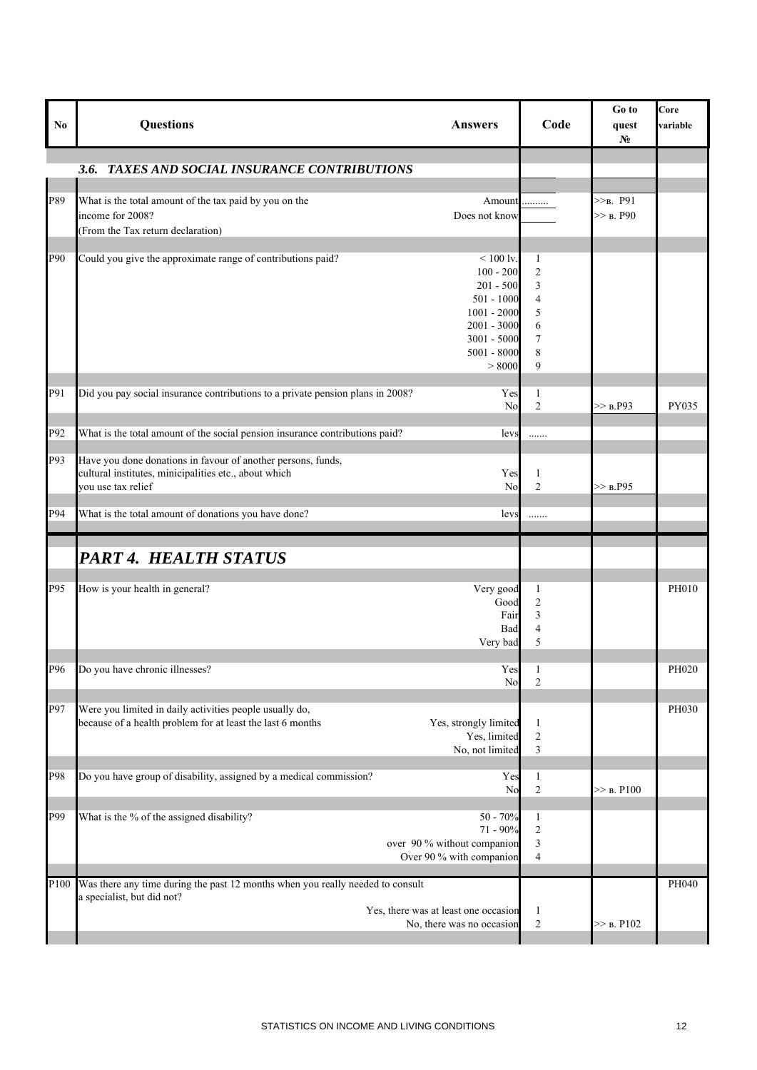| N <sub>0</sub> | Questions<br><b>Answers</b>                                                                                                                                                                                  | Code                                                                             | Go to<br>quest<br>N <sub>0</sub> | Core<br>variable |
|----------------|--------------------------------------------------------------------------------------------------------------------------------------------------------------------------------------------------------------|----------------------------------------------------------------------------------|----------------------------------|------------------|
|                | TAXES AND SOCIAL INSURANCE CONTRIBUTIONS<br>3.6.                                                                                                                                                             |                                                                                  |                                  |                  |
|                |                                                                                                                                                                                                              |                                                                                  |                                  |                  |
| P89            | What is the total amount of the tax paid by you on the<br>$\label{eq:1} \textbf{Amount} \dots \dots \dots$<br>income for 2008?<br>Does not know<br>(From the Tax return declaration)                         |                                                                                  | $>>_B$ . P91<br>$>>$ B. P90      |                  |
|                |                                                                                                                                                                                                              |                                                                                  |                                  |                  |
| P90            | Could you give the approximate range of contributions paid?<br>$< 100 \text{ ly.}$<br>$100 - 200$<br>$201 - 500$<br>$501 - 1000$<br>$1001 - 2000$<br>$2001 - 3000$<br>3001 - 5000<br>$5001 - 8000$<br>> 8000 | 1<br>$\overline{2}$<br>$\mathfrak{Z}$<br>$\overline{4}$<br>5<br>6<br>7<br>8<br>9 |                                  |                  |
| P91            | Did you pay social insurance contributions to a private pension plans in 2008?<br>Yes<br>No                                                                                                                  | $\mathbf{1}$<br>$\overline{2}$                                                   | >> B.P93                         | PY035            |
| P92            | What is the total amount of the social pension insurance contributions paid?<br>levs                                                                                                                         | .                                                                                |                                  |                  |
| P93            | Have you done donations in favour of another persons, funds,<br>cultural institutes, minicipalities etc., about which<br>Yes<br>vou use tax relief<br>N <sub>0</sub>                                         | $\mathbf{1}$<br>$\overline{2}$                                                   | >> B.P95                         |                  |
| P94            | What is the total amount of donations you have done?<br>levs                                                                                                                                                 | .                                                                                |                                  |                  |
|                | PART 4. HEALTH STATUS                                                                                                                                                                                        |                                                                                  |                                  |                  |
| P95            | How is your health in general?<br>Very good<br>Good<br>Fair<br>Bad<br>Very bad                                                                                                                               | $\mathbf{1}$<br>$\overline{c}$<br>$\overline{\mathbf{3}}$<br>$\overline{4}$<br>5 |                                  | PH010            |
| P96            | Do you have chronic illnesses?<br>Yes<br>No                                                                                                                                                                  | 1<br>$\overline{2}$                                                              |                                  | PH020            |
| P97            | Were you limited in daily activities people usually do,<br>because of a health problem for at least the last 6 months<br>Yes, strongly limited<br>Yes, limited<br>No, not limited                            | $\mathbf{1}$<br>$\sqrt{2}$<br>$\mathfrak{Z}$                                     |                                  | PH030            |
| P98            | Do you have group of disability, assigned by a medical commission?<br>Yes<br>N <sub>0</sub>                                                                                                                  | $\mathbf{1}$<br>$\sqrt{2}$                                                       | $>>$ B. P100                     |                  |
| P99            | What is the % of the assigned disability?<br>$50 - 70%$<br>$71 - 90\%$<br>over 90 % without companion<br>Over 90 % with companion                                                                            | $\mathbf{1}$<br>$\overline{2}$<br>$\mathfrak{Z}$<br>$\overline{4}$               |                                  |                  |
| P100           | Was there any time during the past 12 months when you really needed to consult<br>a specialist, but did not?<br>Yes, there was at least one occasion<br>No, there was no occasion                            | $\mathbf{1}$<br>$\sqrt{2}$                                                       | $>>$ B. P102                     | PH040            |